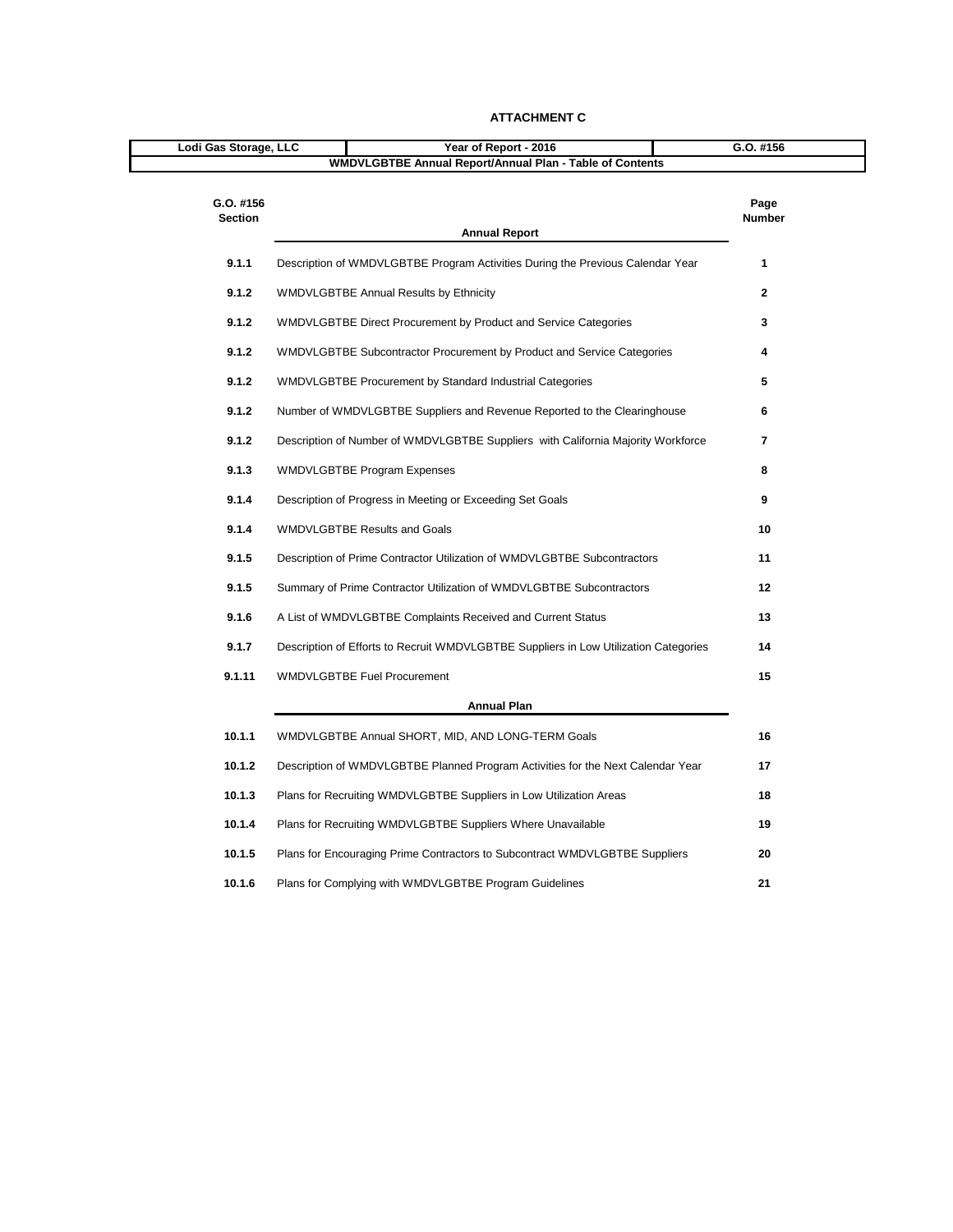| Lodi Gas Storage, LLC       | Year of Report - 2016                                                                | G.O. #156      |
|-----------------------------|--------------------------------------------------------------------------------------|----------------|
|                             | <b>WMDVLGBTBE Annual Report/Annual Plan - Table of Contents</b>                      |                |
| G.O. #156<br><b>Section</b> | <b>Annual Report</b>                                                                 | Page<br>Number |
| 9.1.1                       | Description of WMDVLGBTBE Program Activities During the Previous Calendar Year       | 1              |
| 9.1.2                       | <b>WMDVLGBTBE Annual Results by Ethnicity</b>                                        | $\overline{2}$ |
| 9.1.2                       | WMDVLGBTBE Direct Procurement by Product and Service Categories                      | 3              |
| 9.1.2                       | WMDVLGBTBE Subcontractor Procurement by Product and Service Categories               | 4              |
| 9.1.2                       | <b>WMDVLGBTBE Procurement by Standard Industrial Categories</b>                      | 5              |
| 9.1.2                       | Number of WMDVLGBTBE Suppliers and Revenue Reported to the Clearinghouse             | 6              |
| 9.1.2                       | Description of Number of WMDVLGBTBE Suppliers with California Majority Workforce     | $\overline{7}$ |
| 9.1.3                       | <b>WMDVLGBTBE Program Expenses</b>                                                   | 8              |
| 9.1.4                       | Description of Progress in Meeting or Exceeding Set Goals                            | 9              |
| 9.1.4                       | <b>WMDVLGBTBE Results and Goals</b>                                                  | 10             |
| 9.1.5                       | Description of Prime Contractor Utilization of WMDVLGBTBE Subcontractors             | 11             |
| 9.1.5                       | Summary of Prime Contractor Utilization of WMDVLGBTBE Subcontractors                 | 12             |
| 9.1.6                       | A List of WMDVLGBTBE Complaints Received and Current Status                          | 13             |
| 9.1.7                       | Description of Efforts to Recruit WMDVLGBTBE Suppliers in Low Utilization Categories | 14             |
| 9.1.11                      | <b>WMDVLGBTBE Fuel Procurement</b>                                                   | 15             |
|                             | <b>Annual Plan</b>                                                                   |                |
| 10.1.1                      | WMDVLGBTBE Annual SHORT, MID, AND LONG-TERM Goals                                    | 16             |
| 10.1.2                      | Description of WMDVLGBTBE Planned Program Activities for the Next Calendar Year      | 17             |
| 10.1.3                      | Plans for Recruiting WMDVLGBTBE Suppliers in Low Utilization Areas                   | 18             |
| 10.1.4                      | Plans for Recruiting WMDVLGBTBE Suppliers Where Unavailable                          | 19             |
| 10.1.5                      | Plans for Encouraging Prime Contractors to Subcontract WMDVLGBTBE Suppliers          | 20             |
| 10.1.6                      | Plans for Complying with WMDVLGBTBE Program Guidelines                               | 21             |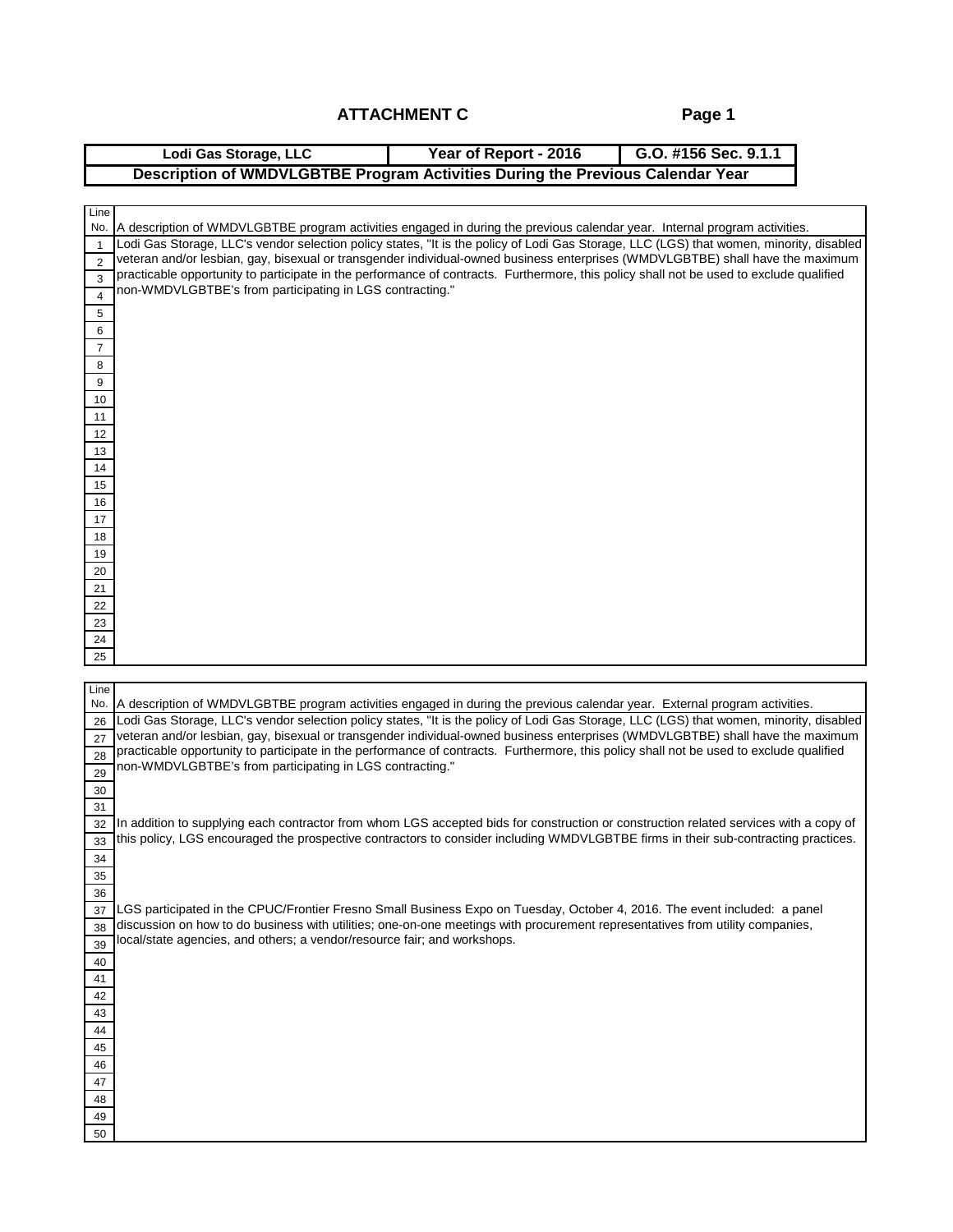**Page 1**

|                                | Lodi Gas Storage, LLC                                                    | Year of Report - 2016<br>G.O. #156 Sec. 9.1.1                                                                                                                                                                                                                               |
|--------------------------------|--------------------------------------------------------------------------|-----------------------------------------------------------------------------------------------------------------------------------------------------------------------------------------------------------------------------------------------------------------------------|
|                                |                                                                          | Description of WMDVLGBTBE Program Activities During the Previous Calendar Year                                                                                                                                                                                              |
|                                |                                                                          |                                                                                                                                                                                                                                                                             |
| Line                           |                                                                          |                                                                                                                                                                                                                                                                             |
| No.                            |                                                                          | A description of WMDVLGBTBE program activities engaged in during the previous calendar year. Internal program activities.<br>Lodi Gas Storage, LLC's vendor selection policy states, "It is the policy of Lodi Gas Storage, LLC (LGS) that women, minority, disabled        |
| $\mathbf{1}$<br>$\overline{2}$ |                                                                          | veteran and/or lesbian, gay, bisexual or transgender individual-owned business enterprises (WMDVLGBTBE) shall have the maximum                                                                                                                                              |
| 3                              |                                                                          | practicable opportunity to participate in the performance of contracts. Furthermore, this policy shall not be used to exclude qualified                                                                                                                                     |
| $\overline{4}$                 | non-WMDVLGBTBE's from participating in LGS contracting."                 |                                                                                                                                                                                                                                                                             |
| 5                              |                                                                          |                                                                                                                                                                                                                                                                             |
| 6                              |                                                                          |                                                                                                                                                                                                                                                                             |
| 7                              |                                                                          |                                                                                                                                                                                                                                                                             |
| 8                              |                                                                          |                                                                                                                                                                                                                                                                             |
| 9                              |                                                                          |                                                                                                                                                                                                                                                                             |
| 10                             |                                                                          |                                                                                                                                                                                                                                                                             |
| 11                             |                                                                          |                                                                                                                                                                                                                                                                             |
| 12<br>13                       |                                                                          |                                                                                                                                                                                                                                                                             |
| 14                             |                                                                          |                                                                                                                                                                                                                                                                             |
| 15                             |                                                                          |                                                                                                                                                                                                                                                                             |
| 16                             |                                                                          |                                                                                                                                                                                                                                                                             |
| 17                             |                                                                          |                                                                                                                                                                                                                                                                             |
| 18                             |                                                                          |                                                                                                                                                                                                                                                                             |
| 19                             |                                                                          |                                                                                                                                                                                                                                                                             |
| 20<br>21                       |                                                                          |                                                                                                                                                                                                                                                                             |
| 22                             |                                                                          |                                                                                                                                                                                                                                                                             |
| 23                             |                                                                          |                                                                                                                                                                                                                                                                             |
| 24                             |                                                                          |                                                                                                                                                                                                                                                                             |
| 25                             |                                                                          |                                                                                                                                                                                                                                                                             |
|                                |                                                                          |                                                                                                                                                                                                                                                                             |
| Line<br>No.                    |                                                                          | A description of WMDVLGBTBE program activities engaged in during the previous calendar year. External program activities.                                                                                                                                                   |
| 26                             |                                                                          | Lodi Gas Storage, LLC's vendor selection policy states, "It is the policy of Lodi Gas Storage, LLC (LGS) that women, minority, disabled                                                                                                                                     |
| 27                             |                                                                          | veteran and/or lesbian, gay, bisexual or transgender individual-owned business enterprises (WMDVLGBTBE) shall have the maximum                                                                                                                                              |
| 28                             |                                                                          | practicable opportunity to participate in the performance of contracts. Furthermore, this policy shall not be used to exclude qualified                                                                                                                                     |
| 29                             | non-WMDVLGBTBE's from participating in LGS contracting."                 |                                                                                                                                                                                                                                                                             |
| 30                             |                                                                          |                                                                                                                                                                                                                                                                             |
| 31                             |                                                                          |                                                                                                                                                                                                                                                                             |
| 32                             |                                                                          | In addition to supplying each contractor from whom LGS accepted bids for construction or construction related services with a copy of<br>this policy, LGS encouraged the prospective contractors to consider including WMDVLGBTBE firms in their sub-contracting practices. |
| 33<br>34                       |                                                                          |                                                                                                                                                                                                                                                                             |
| 35                             |                                                                          |                                                                                                                                                                                                                                                                             |
| 36                             |                                                                          |                                                                                                                                                                                                                                                                             |
| 37                             |                                                                          | LGS participated in the CPUC/Frontier Fresno Small Business Expo on Tuesday, October 4, 2016. The event included: a panel                                                                                                                                                   |
| 38                             |                                                                          | discussion on how to do business with utilities; one-on-one meetings with procurement representatives from utility companies,                                                                                                                                               |
| 39                             | local/state agencies, and others; a vendor/resource fair; and workshops. |                                                                                                                                                                                                                                                                             |
| 40                             |                                                                          |                                                                                                                                                                                                                                                                             |
| 41                             |                                                                          |                                                                                                                                                                                                                                                                             |
| 42                             |                                                                          |                                                                                                                                                                                                                                                                             |
| 43<br>44                       |                                                                          |                                                                                                                                                                                                                                                                             |
| 45                             |                                                                          |                                                                                                                                                                                                                                                                             |
| 46                             |                                                                          |                                                                                                                                                                                                                                                                             |
| 47                             |                                                                          |                                                                                                                                                                                                                                                                             |
| 48                             |                                                                          |                                                                                                                                                                                                                                                                             |
| 49                             |                                                                          |                                                                                                                                                                                                                                                                             |
| 50                             |                                                                          |                                                                                                                                                                                                                                                                             |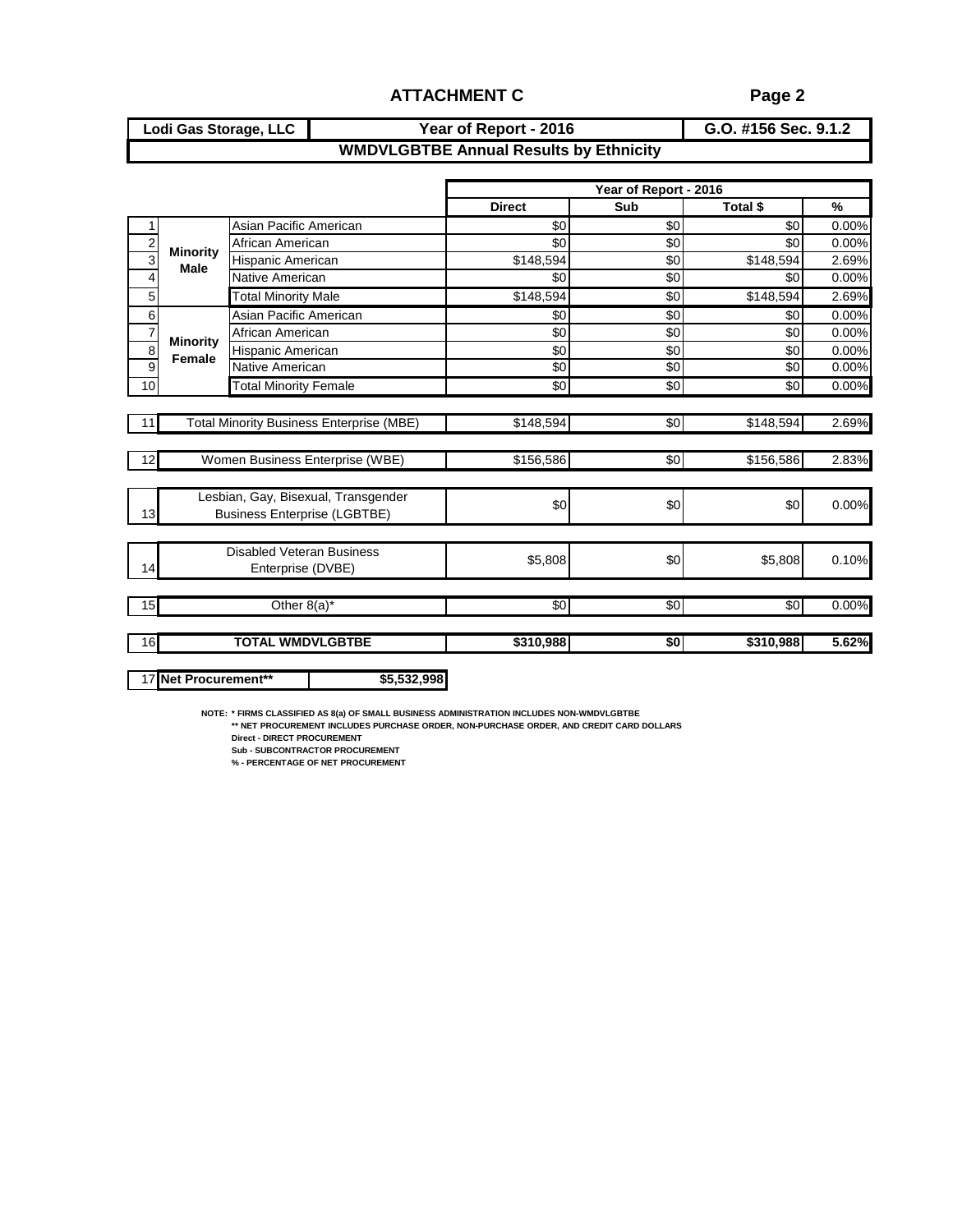#### **G.O. #156 Sec. 9.1.2 WMDVLGBTBE Annual Results by Ethnicity Lodi Gas Storage, LLC Year of Report - 2016**

|                           |                                |                                                 |                 | Year of Report - 2016 |                 |               |
|---------------------------|--------------------------------|-------------------------------------------------|-----------------|-----------------------|-----------------|---------------|
|                           |                                |                                                 | <b>Direct</b>   | Sub                   | Total \$        | $\frac{9}{6}$ |
|                           |                                | Asian Pacific American                          | \$0             | \$0                   | \$0             | 0.00%         |
| $\overline{c}$            |                                | African American                                | \$0             | \$0                   | \$0             | 0.00%         |
| $\overline{\overline{3}}$ | <b>Minority</b><br><b>Male</b> | Hispanic American                               | \$148,594       | \$0                   | \$148,594       | 2.69%         |
| $\overline{4}$            |                                | Native American                                 | \$0             | \$0                   | \$0             | 0.00%         |
| 5                         |                                | <b>Total Minority Male</b>                      | \$148,594       | \$0                   | \$148,594       | 2.69%         |
| 6                         |                                | Asian Pacific American                          | \$0             | \$0                   | \$0             | 0.00%         |
| $\overline{7}$            |                                | African American                                | \$0             | \$0                   | \$0             | 0.00%         |
| 8                         | <b>Minority</b><br>Female      | Hispanic American                               | \$0             | \$0                   | \$0             | 0.00%         |
| $\overline{9}$            |                                | Native American                                 | \$0             | \$0                   | \$0             | 0.00%         |
| 10                        |                                | <b>Total Minority Female</b>                    | $\overline{30}$ | $\overline{50}$       | $\overline{30}$ | 0.00%         |
|                           |                                |                                                 |                 |                       |                 |               |
| 11                        |                                | <b>Total Minority Business Enterprise (MBE)</b> | \$148,594       | \$0                   | \$148,594       | 2.69%         |
|                           |                                |                                                 |                 |                       |                 |               |
| 12                        |                                | Women Business Enterprise (WBE)                 | \$156,586       | \$0                   | \$156,586       | 2.83%         |
|                           |                                |                                                 |                 |                       |                 |               |
|                           |                                | Lesbian, Gay, Bisexual, Transgender             | \$0             | \$0                   | \$0             | 0.00%         |
| 13                        |                                | <b>Business Enterprise (LGBTBE)</b>             |                 |                       |                 |               |
|                           |                                |                                                 |                 |                       |                 |               |
|                           |                                | <b>Disabled Veteran Business</b>                | \$5,808         | \$0                   | \$5,808         | 0.10%         |
| 14                        |                                | Enterprise (DVBE)                               |                 |                       |                 |               |
| 15                        |                                | Other 8(a)*                                     | \$0             | \$0                   | \$0             | 0.00%         |
| 16                        |                                | <b>TOTAL WMDVLGBTBE</b>                         | \$310,988       | \$0                   | \$310,988       | 5.62%         |
|                           |                                |                                                 |                 |                       |                 |               |
|                           | 17 Net Procurement**           | \$5,532,998                                     |                 |                       |                 |               |
|                           |                                |                                                 |                 |                       |                 |               |

**NOTE: \* FIRMS CLASSIFIED AS 8(a) OF SMALL BUSINESS ADMINISTRATION INCLUDES NON-WMDVLGBTBE \*\* NET PROCUREMENT INCLUDES PURCHASE ORDER, NON-PURCHASE ORDER, AND CREDIT CARD DOLLARS**

**Direct - DIRECT PROCUREMENT**

**Sub - SUBCONTRACTOR PROCUREMENT**

**% - PERCENTAGE OF NET PROCUREMENT**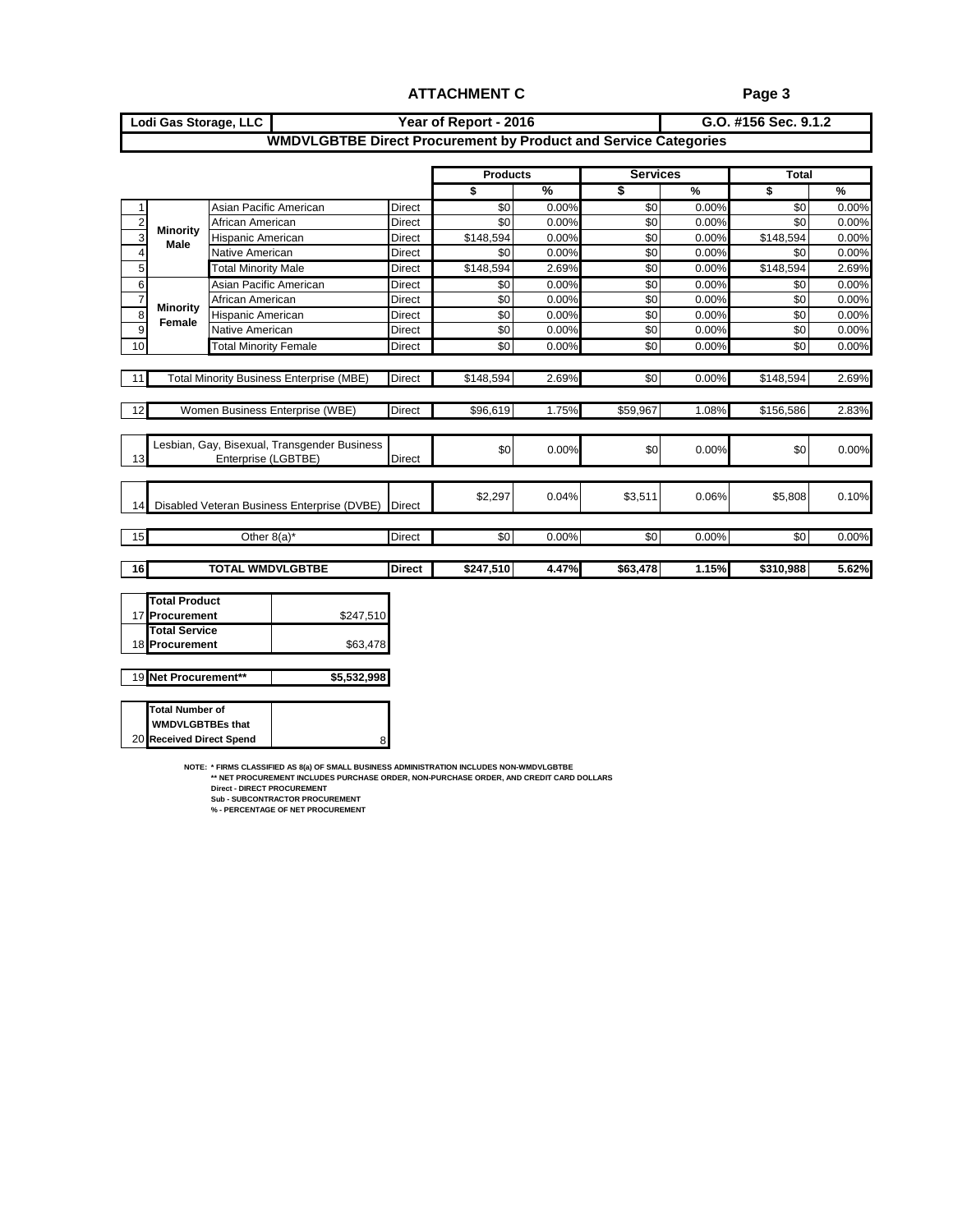#### **G.O. #156 Sec. 9.1.2 WMDVLGBTBE Direct Procurement by Product and Service Categories Lodi Gas Storage, LLC Year of Report - 2016**

|                |                                |                                                 |               | <b>Products</b> |       | <b>Services</b> |       | <b>Total</b>    |       |
|----------------|--------------------------------|-------------------------------------------------|---------------|-----------------|-------|-----------------|-------|-----------------|-------|
|                |                                |                                                 |               | \$              | %     | \$              | %     | \$              | $\%$  |
| 1              |                                | Asian Pacific American                          | <b>Direct</b> | \$0             | 0.00% | \$0             | 0.00% | \$0             | 0.00% |
| $\overline{2}$ |                                | African American                                | <b>Direct</b> | \$0             | 0.00% | \$0             | 0.00% | \$0             | 0.00% |
| $\overline{3}$ | <b>Minority</b><br><b>Male</b> | <b>Hispanic American</b>                        | <b>Direct</b> | \$148,594       | 0.00% | \$0             | 0.00% | \$148,594       | 0.00% |
| 4              |                                | Native American                                 | <b>Direct</b> | \$0             | 0.00% | \$0             | 0.00% | \$0             | 0.00% |
| 5              |                                | <b>Total Minority Male</b>                      | Direct        | \$148,594       | 2.69% | \$0             | 0.00% | \$148,594       | 2.69% |
| $6\phantom{a}$ |                                | Asian Pacific American                          | <b>Direct</b> | \$0             | 0.00% | \$0             | 0.00% | \$0             | 0.00% |
| $\overline{7}$ |                                | African American                                | <b>Direct</b> | \$0             | 0.00% | \$0             | 0.00% | \$0             | 0.00% |
| $\overline{8}$ | Minority<br>Female             | <b>Hispanic American</b>                        | Direct        | \$0             | 0.00% | \$0             | 0.00% | \$0             | 0.00% |
| $\overline{9}$ |                                | Native American                                 | Direct        | \$0             | 0.00% | \$0             | 0.00% | \$0             | 0.00% |
| 10             |                                | <b>Total Minority Female</b>                    | Direct        | \$0             | 0.00% | \$0             | 0.00% | \$0             | 0.00% |
|                |                                |                                                 |               |                 |       |                 |       |                 |       |
| 11             |                                | <b>Total Minority Business Enterprise (MBE)</b> | <b>Direct</b> | \$148,594       | 2.69% | \$0             | 0.00% | \$148,594       | 2.69% |
|                |                                |                                                 |               |                 |       |                 |       |                 |       |
| 12             |                                | Women Business Enterprise (WBE)                 | <b>Direct</b> | \$96,619        | 1.75% | \$59,967        | 1.08% | \$156,586       | 2.83% |
|                |                                |                                                 |               |                 |       |                 |       |                 |       |
|                |                                | Lesbian, Gay, Bisexual, Transgender Business    |               |                 |       |                 |       |                 |       |
| 13             |                                | Enterprise (LGBTBE)                             | <b>Direct</b> | \$0             | 0.00% | \$0             | 0.00% | \$0             | 0.00% |
|                |                                |                                                 |               |                 |       |                 |       |                 |       |
|                |                                |                                                 |               |                 |       |                 |       |                 |       |
| 14             |                                | Disabled Veteran Business Enterprise (DVBE)     | <b>Direct</b> | \$2,297         | 0.04% | \$3,511         | 0.06% | \$5,808         | 0.10% |
|                |                                |                                                 |               |                 |       |                 |       |                 |       |
| 15             |                                | Other $8(a)^*$                                  | <b>Direct</b> | \$0             | 0.00% | $\overline{30}$ | 0.00% | $\overline{50}$ | 0.00% |
|                |                                |                                                 |               |                 |       |                 |       |                 |       |
| 16             |                                | <b>TOTAL WMDVLGBTBE</b>                         | <b>Direct</b> | \$247,510       | 4.47% | \$63,478        | 1.15% | \$310,988       | 5.62% |
|                |                                |                                                 |               |                 |       |                 |       |                 |       |
|                | <b>Total Product</b>           |                                                 |               |                 |       |                 |       |                 |       |
|                | 17 Procurement                 | \$247,510                                       |               |                 |       |                 |       |                 |       |
|                | <b>Total Service</b>           |                                                 |               |                 |       |                 |       |                 |       |
|                | 18 Procurement                 | \$63,478                                        |               |                 |       |                 |       |                 |       |
|                |                                |                                                 |               |                 |       |                 |       |                 |       |
|                | 19 Net Procurement**           | \$5,532,998                                     |               |                 |       |                 |       |                 |       |
|                |                                |                                                 |               |                 |       |                 |       |                 |       |
|                | <b>Total Number of</b>         |                                                 |               |                 |       |                 |       |                 |       |

8

**NOTE: \* FIRMS CLASSIFIED AS 8(a) OF SMALL BUSINESS ADMINISTRATION INCLUDES NON-WMDVLGBTBE \*\* NET PROCUREMENT INCLUDES PURCHASE ORDER, NON-PURCHASE ORDER, AND CREDIT CARD DOLLARS**

20

 **WMDVLGBTBEs that Received Direct Spend**

**Direct - DIRECT PROCUREMENT Sub - SUBCONTRACTOR PROCUREMENT % - PERCENTAGE OF NET PROCUREMENT**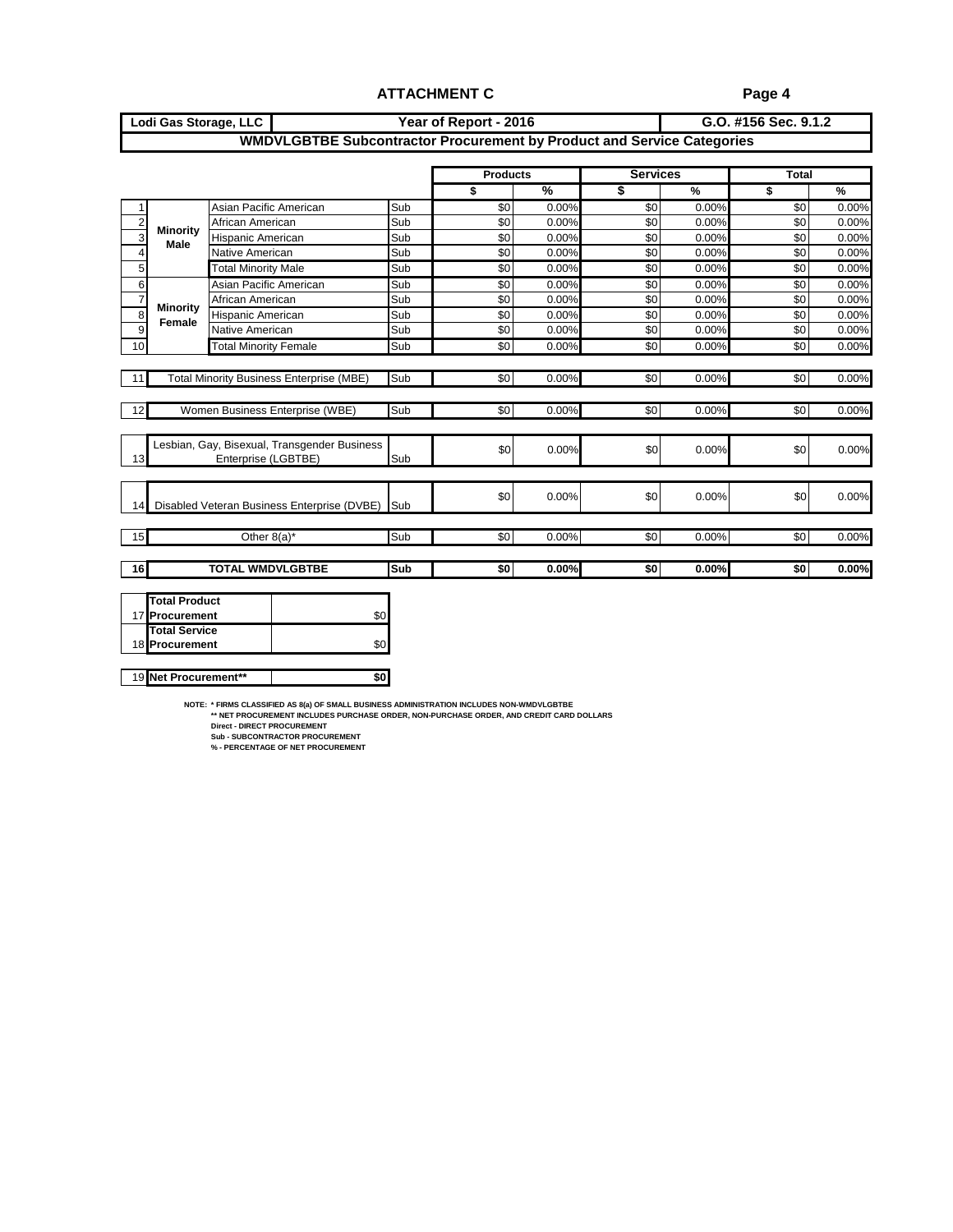#### **G.O. #156 Sec. 9.1.2 Lodi Gas Storage, LLC Year of Report - 2016 WMDVLGBTBE Subcontractor Procurement by Product and Service Categories**

|                |                      |                                                                     |     | <b>Products</b> |               | <b>Services</b> |       | <b>Total</b>    |       |  |
|----------------|----------------------|---------------------------------------------------------------------|-----|-----------------|---------------|-----------------|-------|-----------------|-------|--|
|                |                      |                                                                     |     | \$              | $\frac{9}{6}$ | \$              | %     | \$              | $\%$  |  |
| 1              |                      | Asian Pacific American                                              | Sub | \$0             | 0.00%         | \$0             | 0.00% | \$0             | 0.00% |  |
| $\overline{2}$ | <b>Minority</b>      | African American                                                    | Sub | \$0             | 0.00%         | \$0             | 0.00% | \$0             | 0.00% |  |
| 3              | <b>Male</b>          | Hispanic American                                                   | Sub | \$0             | 0.00%         | \$0             | 0.00% | \$0             | 0.00% |  |
| $\overline{4}$ |                      | Native American                                                     | Sub | \$0             | 0.00%         | \$0             | 0.00% | \$0             | 0.00% |  |
| 5              |                      | <b>Total Minority Male</b>                                          | Sub | \$0             | 0.00%         | \$0             | 0.00% | \$0             | 0.00% |  |
| 6              |                      | Asian Pacific American                                              | Sub | \$0             | 0.00%         | \$0             | 0.00% | \$0             | 0.00% |  |
| $\overline{7}$ | Minority             | African American                                                    | Sub | \$0             | 0.00%         | \$0             | 0.00% | \$0             | 0.00% |  |
| 8              | Female               | Hispanic American                                                   | Sub | \$0             | 0.00%         | \$0             | 0.00% | \$0             | 0.00% |  |
| 9              |                      | Native American                                                     | Sub | \$0             | 0.00%         | \$0             | 0.00% | \$0             | 0.00% |  |
| 10             |                      | <b>Total Minority Female</b>                                        | Sub | \$0             | 0.00%         | \$0             | 0.00% | \$0             | 0.00% |  |
|                |                      |                                                                     |     |                 |               |                 |       |                 |       |  |
| 11             |                      | <b>Total Minority Business Enterprise (MBE)</b>                     | Sub | \$0             | 0.00%         | $\overline{30}$ | 0.00% | \$0             | 0.00% |  |
|                |                      |                                                                     |     |                 |               |                 |       |                 |       |  |
| 12             |                      | Women Business Enterprise (WBE)                                     | Sub | \$0             | 0.00%         | $\overline{30}$ | 0.00% | \$0             | 0.00% |  |
|                |                      |                                                                     |     |                 |               |                 |       |                 |       |  |
| 13             |                      | Lesbian, Gay, Bisexual, Transgender Business<br>Enterprise (LGBTBE) | Sub | \$0             | 0.00%         | \$0             | 0.00% | \$0             | 0.00% |  |
|                |                      |                                                                     |     |                 |               |                 |       |                 |       |  |
|                |                      |                                                                     |     | \$0             | 0.00%         | \$0             | 0.00% | \$0             | 0.00% |  |
| 14             |                      | Disabled Veteran Business Enterprise (DVBE)                         | Sub |                 |               |                 |       |                 |       |  |
| 15             |                      | Other $8(a)^*$                                                      | Sub | $\overline{50}$ | 0.00%         | $\overline{30}$ | 0.00% | $\overline{50}$ | 0.00% |  |
|                |                      |                                                                     |     |                 |               |                 |       |                 |       |  |
| 16             |                      | <b>TOTAL WMDVLGBTBE</b>                                             | Sub | \$0             | 0.00%         | \$0             | 0.00% | \$0             | 0.00% |  |
|                |                      |                                                                     |     |                 |               |                 |       |                 |       |  |
|                | <b>Total Product</b> |                                                                     |     |                 |               |                 |       |                 |       |  |
|                | 17 Procurement       | \$0                                                                 |     |                 |               |                 |       |                 |       |  |
|                | <b>Total Service</b> |                                                                     |     |                 |               |                 |       |                 |       |  |
|                | 18 Procurement       | \$0                                                                 |     |                 |               |                 |       |                 |       |  |

19 **Net Procurement\*\*** | **\$0** 

**NOTE: \* FIRMS CLASSIFIED AS 8(a) OF SMALL BUSINESS ADMINISTRATION INCLUDES NON-WMDVLGBTBE \*\* NET PROCUREMENT INCLUDES PURCHASE ORDER, NON-PURCHASE ORDER, AND CREDIT CARD DOLLARS**

**Direct - DIRECT PROCUREMENT Sub - SUBCONTRACTOR PROCUREMENT % - PERCENTAGE OF NET PROCUREMENT**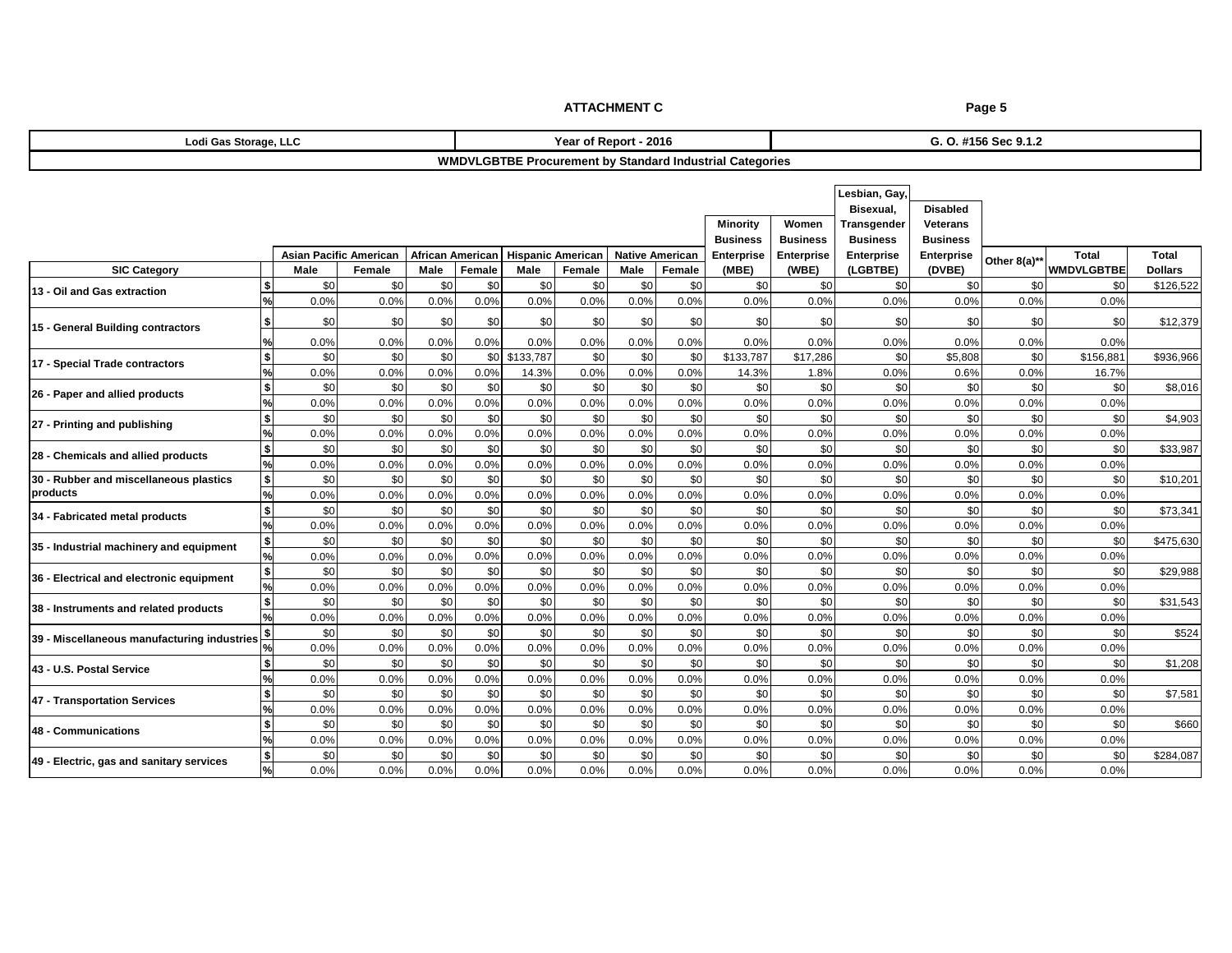| Lodi Gas Storage, LLC                  |                                                                                                                                                          |                                                                               |                |              |                |               | Year of Report - 2016 |              |                   |                   |                 | G. O. #156 Sec 9.1.2 |                |                |                   |                |  |  |
|----------------------------------------|----------------------------------------------------------------------------------------------------------------------------------------------------------|-------------------------------------------------------------------------------|----------------|--------------|----------------|---------------|-----------------------|--------------|-------------------|-------------------|-----------------|----------------------|----------------|----------------|-------------------|----------------|--|--|
|                                        | <b>WMDVLGBTBE Procurement by Standard Industrial Categories</b>                                                                                          |                                                                               |                |              |                |               |                       |              |                   |                   |                 |                      |                |                |                   |                |  |  |
|                                        | Lesbian, Gay,<br>Bisexual,<br>Minority<br>Women<br>Transgender<br><b>Business</b><br><b>Business</b><br><b>Business</b><br><b>Asian Pacific American</b> |                                                                               |                |              |                |               |                       |              |                   |                   |                 |                      |                |                |                   |                |  |  |
|                                        |                                                                                                                                                          | <b>African American</b><br><b>Hispanic American</b><br><b>Native American</b> |                |              |                |               | Enterprise            | Enterprise   | <b>Enterprise</b> | <b>Enterprise</b> | Other 8(a)**    | <b>Total</b>         | <b>Total</b>   |                |                   |                |  |  |
| <b>SIC Category</b>                    |                                                                                                                                                          | Male                                                                          | Female         | Male         | Female         | Male          | Female                | Male         | Female            | (MBE)             | (WBE)           | (LGBTBE)             | (DVBE)         |                | <b>WMDVLGBTBE</b> | <b>Dollars</b> |  |  |
| 13 - Oil and Gas extraction            |                                                                                                                                                          | \$0                                                                           | \$0            | \$0          | \$0            | \$0           | \$0                   | \$0          | \$0               | \$0               | \$0             | \$0                  | \$0            | \$0            | \$C               | \$126,522      |  |  |
|                                        |                                                                                                                                                          | 0.0%                                                                          | 0.0%           | 0.0%         | 0.0%           | 0.0%          | 0.0%                  | 0.0%         | 0.0%              | 0.0%              | 0.0%            | 0.0%                 | 0.0%           | 0.0%           | 0.0%              |                |  |  |
| 15 - General Building contractors      |                                                                                                                                                          | \$0                                                                           | \$0            | \$0          | \$0            | \$0           | \$0                   | \$0          | \$0               | \$0               | \$0             | \$0                  | \$0            | \$0            | \$C               | \$12,379       |  |  |
|                                        |                                                                                                                                                          | 0.0%                                                                          | 0.0%           | 0.0%         | 0.0%           | 0.0%          | 0.0%                  | 0.0%         | 0.0%              | 0.0%              | 0.0%            | 0.0%                 | 0.0%           | 0.0%           | 0.0%              |                |  |  |
|                                        |                                                                                                                                                          | \$0                                                                           | \$0            | \$0          |                | \$0 \$133,787 | \$0                   | \$0          | \$0               | \$133,787         | \$17,286        | \$0                  | \$5,808        | \$0            | \$156,881         | \$936,966      |  |  |
| 17 - Special Trade contractors         |                                                                                                                                                          | 0.0%                                                                          | 0.0%           | 0.0%         | 0.0%           | 14.3%         | 0.0%                  | 0.0%         | 0.0%              | 14.3%             | 1.8%            | 0.0%                 | 0.6%           | 0.0%           | 16.7%             |                |  |  |
| 26 - Paper and allied products         |                                                                                                                                                          | \$0                                                                           | \$0            | \$0          | \$0            | \$0           | \$0                   | \$0          | \$0               | \$0               | \$ <sub>6</sub> | \$0                  | \$0            | \$0            | \$C               | \$8,016        |  |  |
|                                        |                                                                                                                                                          | 0.0%                                                                          | 0.0%           | 0.0%         | 0.0%           | 0.0%          | 0.0%                  | 0.0%         | 0.0%              | 0.0%              | 0.0%            | 0.0%                 | 0.0%           | 0.0%           | 0.0%              |                |  |  |
|                                        |                                                                                                                                                          | \$0                                                                           | \$0            | \$0          | \$0            | \$0           | \$0                   | \$0          | \$0               | \$0               | \$0             | \$0                  | \$0            | \$0            | \$C               | \$4,903        |  |  |
| 27 - Printing and publishing           |                                                                                                                                                          | 0.0%                                                                          | 0.0%           | 0.0%         | 0.0%           | 0.0%          | 0.0%                  | 0.0%         | 0.0%              | 0.0%              | 0.0%            | 0.0%                 | 0.0%           | 0.0%           | 0.0%              |                |  |  |
| 28 - Chemicals and allied products     |                                                                                                                                                          | \$0                                                                           | \$0            | \$0          | \$0            | \$0           | \$0                   | \$0          | \$0               | \$0               | \$0             | \$0                  | \$0            | \$0            | \$0               | \$33,987       |  |  |
|                                        |                                                                                                                                                          | 0.0%                                                                          | 0.0%           | 0.0%         | 0.0%           | 0.0%          | 0.0%                  | 0.0%         | 0.0%              | 0.0%              | 0.0%            | 0.0%                 | 0.0%           | 0.0%           | 0.0%              |                |  |  |
| 20 - Pubbor and miscollanoous plastics |                                                                                                                                                          | C <sub>0</sub>                                                                | $\mathfrak{g}$ | $\mathbf{C}$ | C <sub>0</sub> | $\mathbf{C}$  | $\mathfrak{C}$        | $\mathbf{C}$ | $\mathfrak{g}$    | $\mathbf{C}$      | C <sub>0</sub>  | C <sub>0</sub>       | C <sub>0</sub> | C <sub>0</sub> | ¢Λ.               | 0.10,001       |  |  |

| <b>ELECTRICITY AND PUBLISHING</b>                         | 0.0% | 0.0% | 0.0% | 0.0% | 0.0% | 0.0% | 0.0% | 0.0% | 0.0% | 0.0% | 0.0% | 0.0% | 0.0% | 0.0% |           |
|-----------------------------------------------------------|------|------|------|------|------|------|------|------|------|------|------|------|------|------|-----------|
| 28 - Chemicals and allied products                        | \$0  | \$0  | \$0  | \$0  | \$0  | \$0  | \$0  | \$C  | \$0  | \$0  | \$0  | \$0  | \$0  | \$0  | \$33,987  |
|                                                           | 0.0% | 0.0% | 0.0% | 0.0% | 0.0% | 0.0% | 0.0% | 0.0% | 0.0% | 0.0% | 0.0% | 0.0% | 0.0% | 0.0% |           |
| 30 - Rubber and miscellaneous plastics                    | \$0  | \$0  | \$0  | \$0  | \$0  | \$0  | \$0  | \$0  | \$0  | \$0  | \$0  | \$0  | \$0  | \$0  | \$10,201  |
| products                                                  | 0.0% | 0.0% | 0.0% | 0.0% | 0.0% | 0.0% | 0.0% | 0.0% | 0.0% | 0.0% | 0.0% | 0.0% | 0.0% | 0.0% |           |
| 34 - Fabricated metal products                            | \$0  | \$0  | \$0  | \$0  | \$0  | \$0  | \$0  | \$0  | \$0  | \$0  | \$0  | \$0  | \$0  | \$0  | \$73,341  |
|                                                           | 0.0% | 0.0% | 0.0% | 0.0% | 0.0% | 0.0% | 0.0% | 0.0% | 0.0% | 0.0% | 0.0% | 0.0% | 0.0% | 0.0% |           |
| 35 - Industrial machinery and equipment                   | \$0  | \$C  | \$0  | \$0  | \$0  | \$0  | \$0  | \$0  | \$0  | \$0  | \$0  | \$0  | \$0  | \$0  | \$475,630 |
|                                                           | 0.0% | 0.0% | 0.0% | 0.0% | 0.0% | 0.0% | 0.0% | 0.0% | 0.0% | 0.0% | 0.0% | 0.0% | 0.0% | 0.0% |           |
| 36 - Electrical and electronic equipment                  | \$0  | \$0  | \$0  | \$0  | \$0  | \$0  | \$0  | \$0  | \$0  | \$0  | \$0  | \$0  | \$0  | \$0  | \$29,988  |
|                                                           | 0.0% | 0.0% | 0.0% | 0.0% | 0.0% | 0.0% | 0.0% | 0.0% | 0.0% | 0.0% | 0.0% | 0.0% | 0.0% | 0.0% |           |
| 38 - Instruments and related products                     | \$0  | \$0  | \$0  | \$0  | \$0  | \$0  | \$0  | \$0  | \$0  | \$0  | \$0  | \$0  | \$0  | \$0  | \$31,543  |
|                                                           | 0.0% | 0.0% | 0.0% | 0.0% | 0.0% | 0.0% | 0.0% | 0.0% | 0.0% | 0.0% | 0.0% | 0.0% | 0.0% | 0.0% |           |
| 39 - Miscellaneous manufacturing industries $\frac{3}{2}$ | \$0  | \$0  | \$0  | \$0  | \$0  | \$0  | \$0  | \$0  | \$0  | \$0  | \$0  | \$0  | \$0  | \$0  | \$524     |
|                                                           | 0.0% | 0.0% | 0.0% | 0.0% | 0.0% | 0.0% | 0.0% | 0.0% | 0.0% | 0.0% | 0.0% | 0.0% | 0.0% | 0.0% |           |
| 43 - U.S. Postal Service                                  | \$0  | \$C  | \$0  | \$0  | \$0  | \$0  | \$0  | \$0  | \$0  | \$0  | \$0  | \$0  | \$0  | \$0  | \$1,208   |
|                                                           | 0.0% | 0.0% | 0.0% | 0.0% | 0.0% | 0.0% | 0.0% | 0.0% | 0.0% | 0.0% | 0.0% | 0.0% | 0.0% | 0.0% |           |
| 47 - Transportation Services                              | \$0  | \$0  | \$0  | \$0  | \$0  | \$0  | \$0  | \$0  | \$0  | \$0  | \$0  | \$0  | \$0  | \$0  | \$7,581   |
|                                                           | 0.0% | 0.0% | 0.0% | 0.0% | 0.0% | 0.0% | 0.0% | 0.0% | 0.0% | 0.0% | 0.0% | 0.0% | 0.0% | 0.0% |           |
| 48 - Communications                                       | \$0  | \$0  | \$0  | \$0  | \$0  | \$0  | \$0  | \$0  | \$0  | \$0  | \$0  | \$0  | \$0  | \$0  | \$660     |
|                                                           | 0.0% | 0.0% | 0.0% | 0.0% | 0.0% | 0.0% | 0.0% | 0.0% | 0.0% | 0.0% | 0.0% | 0.0% | 0.0% | 0.0% |           |
| 49 - Electric, gas and sanitary services                  | \$0  | \$C  | \$0  | \$0  | \$0  | \$0  | \$0  | \$0  | \$0  | \$0  | \$0  | \$0  | \$0  | \$C  | \$284,087 |
|                                                           | 0.0% | 0.0% | 0.0% | 0.0% | 0.0% | 0.0% | 0.0% | 0.0% | 0.0% | 0.0% | 0.0% | 0.0% | 0.0% | 0.0% |           |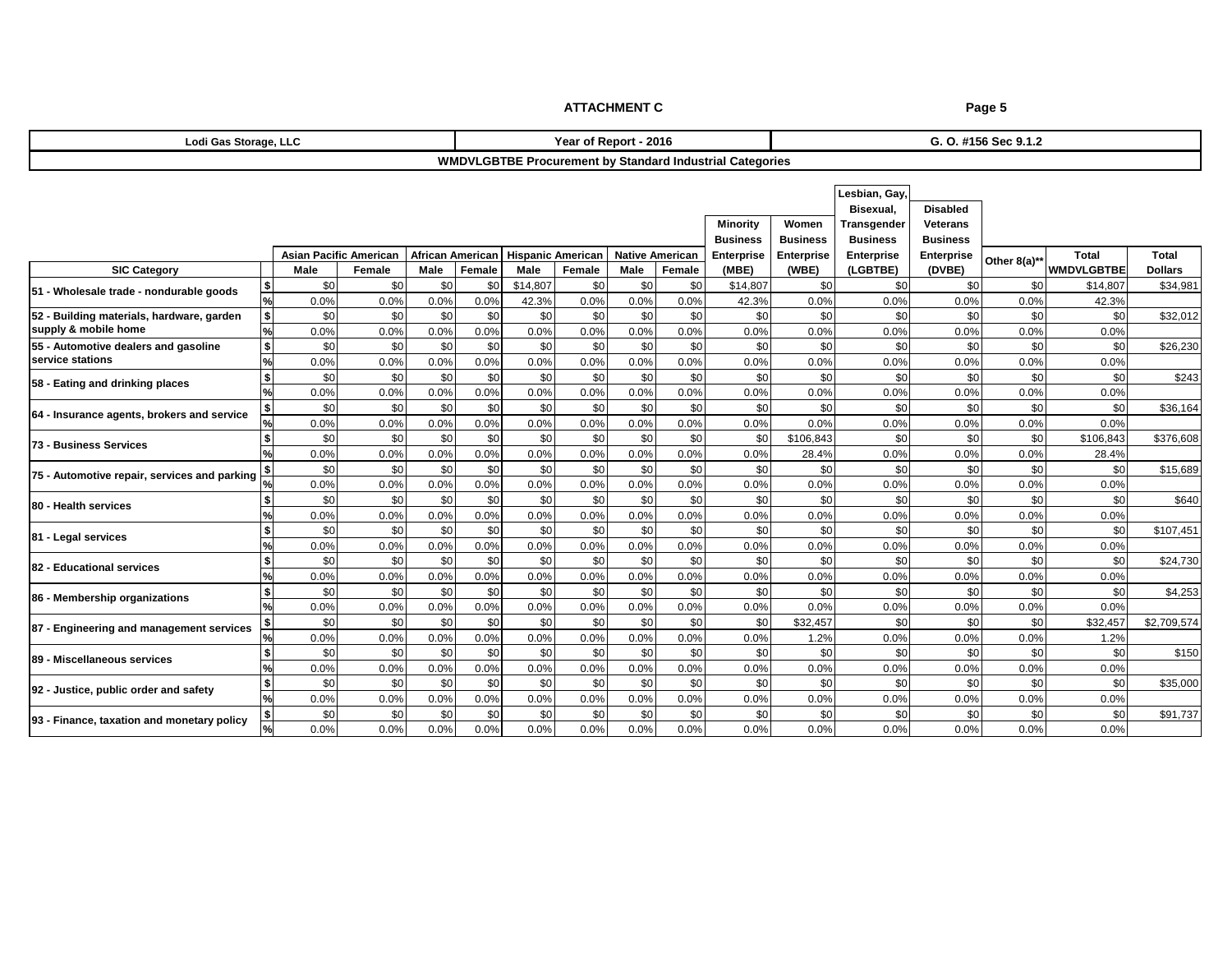|                                                                   |                               |             |                         |             |                          |             | <b>ATTACHMENT C</b>   |                        |             |                                                                 | Page 5                   |                                                                     |                                                       |                      |                   |                |
|-------------------------------------------------------------------|-------------------------------|-------------|-------------------------|-------------|--------------------------|-------------|-----------------------|------------------------|-------------|-----------------------------------------------------------------|--------------------------|---------------------------------------------------------------------|-------------------------------------------------------|----------------------|-------------------|----------------|
| Lodi Gas Storage, LLC                                             |                               |             |                         |             |                          |             | Year of Report - 2016 |                        |             |                                                                 |                          |                                                                     |                                                       | G. O. #156 Sec 9.1.2 |                   |                |
|                                                                   |                               |             |                         |             |                          |             |                       |                        |             | <b>WMDVLGBTBE Procurement by Standard Industrial Categories</b> |                          |                                                                     |                                                       |                      |                   |                |
|                                                                   |                               |             |                         |             |                          |             |                       |                        |             | <b>Minority</b><br><b>Business</b>                              | Women<br><b>Business</b> | Lesbian, Gay,<br>Bisexual.<br><b>Transgender</b><br><b>Business</b> | <b>Disabled</b><br><b>Veterans</b><br><b>Business</b> |                      |                   |                |
|                                                                   | <b>Asian Pacific American</b> |             | <b>African American</b> |             | <b>Hispanic American</b> |             |                       | <b>Native American</b> | Enterprise  | <b>Enterprise</b>                                               | Enterprise               | Enterprise                                                          | Other 8(a)**                                          | <b>Total</b>         | <b>Total</b>      |                |
| <b>SIC Category</b><br>Male<br>Male<br>Female                     |                               |             |                         |             |                          | Male        | Female                | Male                   | Female      | (MBE)                                                           | (WBE)                    | (LGBTBE)                                                            | (DVBE)                                                |                      | <b>WMDVLGBTBE</b> | <b>Dollars</b> |
| 51 - Wholesale trade - nondurable goods                           |                               | \$0         | \$0                     | \$0         | \$0                      | \$14,807    | \$0                   | \$0                    | \$0         | \$14.807                                                        | \$0                      | \$0                                                                 | \$0                                                   | \$0                  | \$14.807          | \$34,981       |
|                                                                   |                               | 0.0%        | 0.0%                    | 0.0%        | 0.0%                     | 42.3%       | 0.0%                  | 0.0%                   | 0.0%        | 42.3%                                                           | 0.0%                     | 0.0%                                                                | 0.0%                                                  | 0.0%                 | 42.3%             |                |
| 52 - Building materials, hardware, garden<br>supply & mobile home | s                             | \$0         | \$0                     | \$0         | \$0                      | \$0         | \$0                   | \$0                    | \$0         | \$0                                                             | \$0                      | \$0                                                                 | \$0                                                   | \$0                  | \$0               | \$32,012       |
| 55 - Automotive dealers and gasoline                              | s                             | 0.0%<br>\$0 | 0.0%<br>\$0             | 0.0%        | 0.0%                     | 0.0%        | 0.0%                  | 0.0%<br>\$0            | 0.0%<br>\$0 | 0.0%<br>\$0                                                     | 0.0%<br>\$0              | 0.0%                                                                | 0.0%                                                  | 0.0%                 | 0.0%              | \$26,230       |
| service stations                                                  |                               | 0.0%        | 0.0%                    | \$0<br>0.0% | \$0<br>0.0%              | \$0<br>0.0% | \$0<br>0.0%           | 0.0%                   | 0.0%        | 0.0%                                                            | 0.0%                     | \$0<br>0.0%                                                         | \$0<br>0.0%                                           | \$0<br>0.0%          | \$0<br>0.0%       |                |
|                                                                   | 5                             | \$0         | \$0                     | \$0         | \$0                      | \$0         | \$0                   | \$0                    | \$0         | \$0                                                             | \$0                      | \$0                                                                 | \$0                                                   | \$0                  | \$0               | \$243          |
| 58 - Eating and drinking places                                   |                               | 0.0%        | 0.0%                    | 0.0%        | 0.0%                     | 0.0%        | 0.0%                  | 0.0%                   | 0.0%        | 0.0%                                                            | 0.0%                     | 0.0%                                                                | 0.0%                                                  | 0.0%                 | 0.0%              |                |
|                                                                   |                               | \$0         | \$0                     | \$0         | \$0                      | \$0         | \$0                   | \$0                    | \$0         | \$0                                                             | \$0                      | \$0                                                                 | \$0                                                   | \$0                  | \$0               | \$36,164       |
| 64 - Insurance agents, brokers and service                        |                               | 0.0%        | 0.0%                    | 0.0%        | 0.0%                     | 0.0%        | 0.0%                  | 0.0%                   | 0.0%        | 0.0%                                                            | 0.0%                     | 0.0%                                                                | 0.0%                                                  | 0.0%                 | 0.0%              |                |
| 73 - Business Services                                            |                               | \$0         | \$0                     | \$0         | \$0                      | \$0         | \$0                   | \$0                    | \$0         | \$C                                                             | \$106.843                | \$0                                                                 | \$0                                                   | \$0                  | \$106.843         | \$376,608      |
|                                                                   |                               | 0.0%        | 0.0%                    | 0.0%        | 0.0%                     | 0.0%        | $0.0\%$               | 0.0%                   | 0.0%        | 0.0%                                                            | 28.4%                    | 0.0%                                                                | 0.0%                                                  | 0.0%                 | 28.4%             |                |
| 75 - Automotive repair, services and parking                      |                               | \$0         | \$0                     | \$0         | \$0                      | \$0         | \$0                   | \$0                    | \$0         | \$0                                                             | \$0                      | \$0                                                                 | \$0                                                   | \$0                  | \$0               | \$15,689       |
|                                                                   |                               | 0.0%        | 0.0%                    | 0.0%        | 0.0%                     | 0.0%        | 0.0%                  | 0.0%                   | 0.0%        | 0.0%                                                            | 0.0%                     | 0.0%                                                                | 0.0%                                                  | 0.0%                 | 0.0%              |                |
| 80 - Health services                                              |                               | \$0         | \$0                     | \$0         | \$0                      | \$0         | \$0                   | \$0                    | \$0         | \$0                                                             | \$0                      | \$0                                                                 | \$0                                                   | \$0                  | \$0               | \$640          |
|                                                                   |                               | 0.0%        | 0.0%                    | 0.0%        | 0.0%                     | 0.0%        | 0.0%                  | 0.0%                   | 0.0%        | 0.0%                                                            | 0.0%                     | 0.0%                                                                | 0.0%                                                  | 0.0%                 | 0.0%              |                |
| 81 - Legal services                                               |                               | \$0         | \$0                     | \$0         | \$0                      | \$0         | \$0                   | \$0                    | \$0         | \$0                                                             | \$0                      | \$0                                                                 | \$0                                                   | \$0                  | \$0               | \$107,451      |
|                                                                   | $\frac{9}{6}$                 | 0.0%        | 0.0%                    | 0.0%        | 0.0%                     | 0.0%        | 0.0%                  | 0.0%                   | 0.0%        | 0.0%                                                            | 0.0%                     | 0.0%                                                                | 0.0%                                                  | 0.0%                 | 0.0%              |                |
| 82 - Educational services                                         |                               | \$0         | \$0                     | \$0         | \$0                      | \$0         | \$0                   | \$0                    | \$0         | \$0                                                             | \$0                      | \$0                                                                 | \$0                                                   | \$0                  | \$0               | \$24,730       |
|                                                                   |                               | 0.0%        | 0.0%                    | 0.0%        | 0.0%                     | 0.0%        | 0.0%                  | 0.0%                   | 0.0%        | 0.0%                                                            | 0.0%                     | 0.0%                                                                | 0.0%                                                  | 0.0%                 | 0.0%              |                |
| 86 - Membership organizations                                     |                               | \$0         | \$0                     | \$0         | \$0                      | \$0         | \$0                   | \$0                    | \$0         | \$0                                                             | \$0                      | \$0                                                                 | \$0                                                   | \$0                  | \$0               | \$4,253        |
|                                                                   |                               | 0.0%        | 0.0%                    | 0.0%        | 0.0%                     | 0.0%        | 0.0%                  | 0.0%                   | 0.0%        | 0.0%                                                            | 0.0%                     | 0.0%                                                                | 0.0%                                                  | 0.0%                 | 0.0%              |                |
| 87 - Engineering and management services                          |                               | \$0         | \$0                     | \$0         | \$0                      | \$0         | \$0                   | \$0                    | \$0         | \$0                                                             | \$32,457                 | \$0                                                                 | \$0                                                   | \$0                  | \$32,457          | \$2,709,574    |
|                                                                   |                               | 0.0%        | 0.0%                    | 0.0%        | 0.0%                     | 0.0%        | 0.0%                  | 0.0%                   | 0.0%        | 0.0%                                                            | 1.2%                     | 0.0%                                                                | 0.0%                                                  | 0.0%                 | 1.2%              |                |

**92 - Justice, public order and safety**

**89 - Miscellaneous services**

**93 - Finance, taxation and monetary policy**

**%** 0.0% 0.0% 0.0% 0.0% 0.0% 0.0% 0.0% 0.0% 0.0% 0.0% 0.0% 0.0% 0.0% 0.0%

%| 0.0%| 0.0%| 0.0%| 0.0%| 0.0%| 0.0%| 0.0%| 0.0%| 0.0%| 0.0%| 0.0%| 0.0%| 0.0%| 0.0%| 0.0%

**%** 0.0% 0.0% 0.0% 0.0% 0.0% 0.0% 0.0% 0.0% 0.0% 0.0% 0.0% 0.0% 0.0% 0.0%

**\$** \$0 \$0 \$0 \$0 \$0 \$0 \$0 \$0 \$0 \$0 \$0 \$0 \$0 \$0 \$150

**\$** \$0 \$0 \$0 \$0 \$0 \$0 \$0 \$0 \$0 \$0 \$0 \$0 \$0 \$0 \$35,000

**\$** \$0 \$0 \$0 \$0 \$0 \$0 \$0 \$0 \$0 \$0 \$0 \$0 \$0 \$0 \$91,737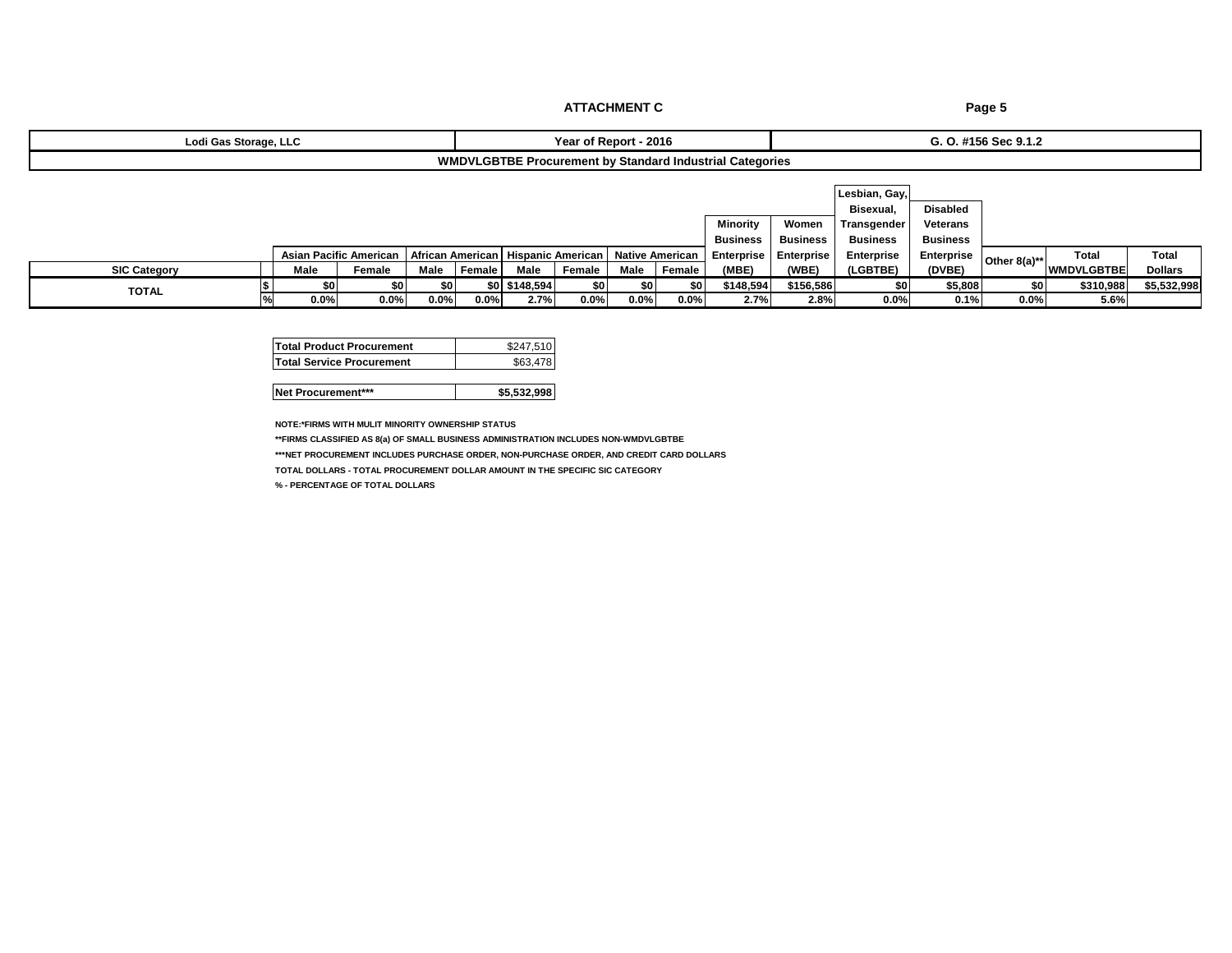| Lodi Gas Storage, LLC                                    | - 2016<br>Year<br>Repor | .<br>$S_{\alpha\alpha}$<br>$  +$ 100 Sec 9.1.2 |  |  |  |  |  |  |  |  |
|----------------------------------------------------------|-------------------------|------------------------------------------------|--|--|--|--|--|--|--|--|
| WMDVLGBTBE Procurement by Standard Industrial Categories |                         |                                                |  |  |  |  |  |  |  |  |

|                     |         |                        |      |        |               |         |         |          |                                                                     |                   | Lesbian, Gay,   |                   |                |                   |                |
|---------------------|---------|------------------------|------|--------|---------------|---------|---------|----------|---------------------------------------------------------------------|-------------------|-----------------|-------------------|----------------|-------------------|----------------|
|                     |         |                        |      |        |               |         |         |          |                                                                     |                   | Bisexual.       | <b>Disabled</b>   |                |                   |                |
|                     |         |                        |      |        |               |         |         |          | Minority                                                            | Women             | Transgender     | <b>Veterans</b>   |                |                   |                |
|                     |         |                        |      |        |               |         |         |          | <b>Business</b>                                                     | <b>Business</b>   | <b>Business</b> | <b>Business</b>   |                |                   |                |
|                     |         | Asian Pacific American |      |        |               |         |         |          | African American   Hispanic American   Native American   Enterprise | <b>Enterprise</b> | Enterprise      | <b>Enterprise</b> | Other $8(a)**$ | Total             | <b>Total</b>   |
| <b>SIC Category</b> | Male    | Female                 | Male | Female | Male          | Female  | Male    | I Female | (MBE)                                                               | (WBE)             | (LGBTBE)        | (DVBE)            |                | <b>WMDVLGBTBE</b> | <b>Dollars</b> |
| <b>TOTAL</b>        |         | SO 1                   |      |        | \$0 \$148,594 | \$0     |         | \$0      | \$148,594                                                           | \$156,586         | \$0             | \$5,808           | \$0            | \$310,988         | \$5,532,998    |
|                     | $0.0\%$ | $0.0\%$                | 0.0% | 0.0%   | 2.7%          | $0.0\%$ | $0.0\%$ | 0.0%     | 2.7%                                                                | 2.8%              | $0.0\%$         | 0.1%              | 0.0%           | 5.6%              |                |

| <b>Total Product Procurement</b> | \$247.510 |
|----------------------------------|-----------|
| <b>Total Service Procurement</b> | \$63.478  |

**Net Procurement\*\*\* \$5,532,998** 

**NOTE:\*FIRMS WITH MULIT MINORITY OWNERSHIP STATUS**

**\*\*FIRMS CLASSIFIED AS 8(a) OF SMALL BUSINESS ADMINISTRATION INCLUDES NON-WMDVLGBTBE**

**\*\*\*NET PROCUREMENT INCLUDES PURCHASE ORDER, NON-PURCHASE ORDER, AND CREDIT CARD DOLLARS**

**TOTAL DOLLARS - TOTAL PROCUREMENT DOLLAR AMOUNT IN THE SPECIFIC SIC CATEGORY** 

**% - PERCENTAGE OF TOTAL DOLLARS**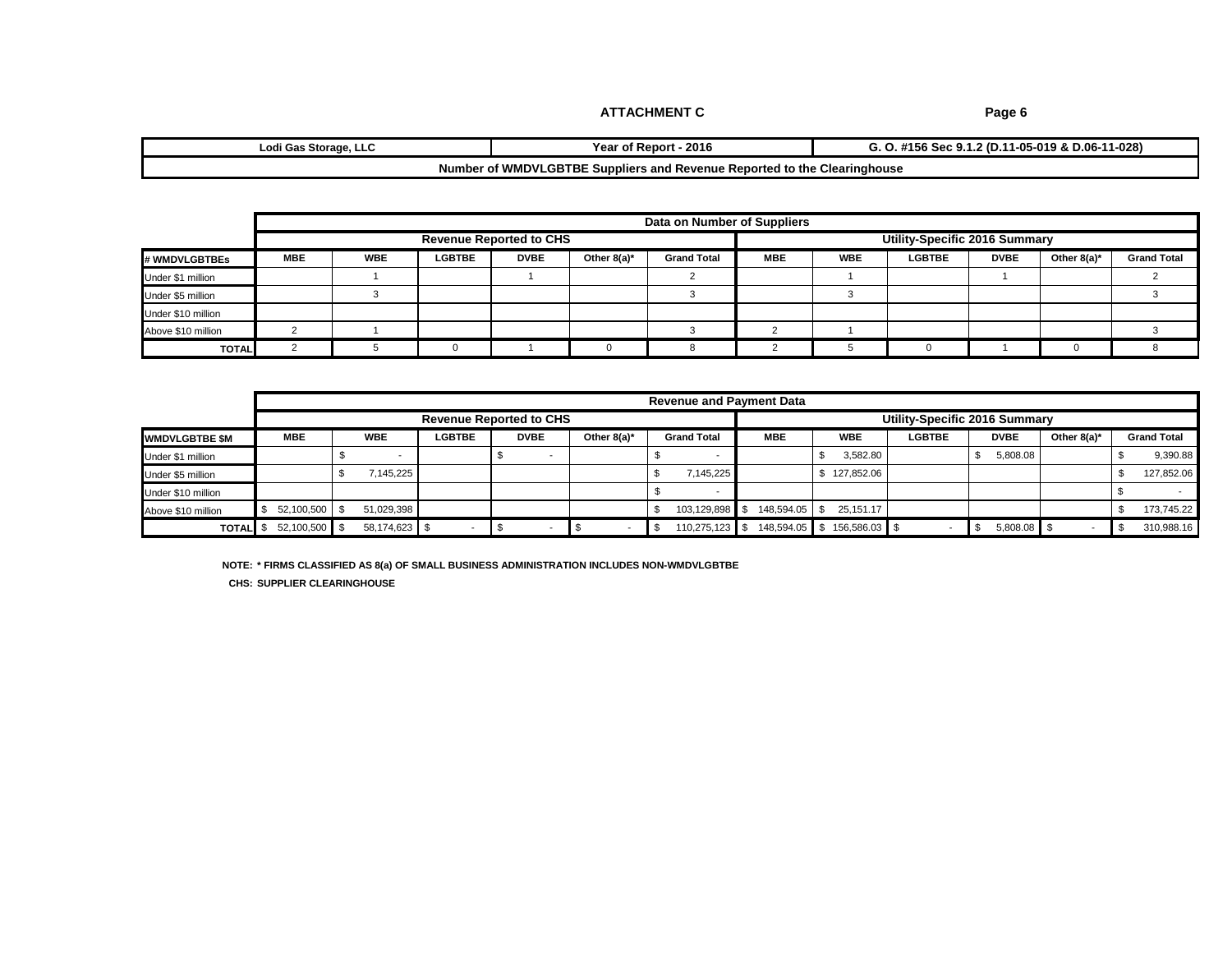**Year of Report - 2016 Lodi Gas Storage, LLC G. O. #156 Sec 9.1.2 (D.11-05-019 & D.06-11-028)**

#### **Number of WMDVLGBTBE Suppliers and Revenue Reported to the Clearinghouse**

|                    |            |            |               |                                |                | Data on Number of Suppliers |            |            |                               |             |                |                    |
|--------------------|------------|------------|---------------|--------------------------------|----------------|-----------------------------|------------|------------|-------------------------------|-------------|----------------|--------------------|
|                    |            |            |               | <b>Revenue Reported to CHS</b> |                |                             |            |            | Utility-Specific 2016 Summary |             |                |                    |
| # WMDVLGBTBEs      | <b>MBE</b> | <b>WBE</b> | <b>LGBTBE</b> | <b>DVBE</b>                    | Other $8(a)^*$ | <b>Grand Total</b>          | <b>MBE</b> | <b>WBE</b> | <b>LGBTBE</b>                 | <b>DVBE</b> | Other $8(a)^*$ | <b>Grand Total</b> |
| Under \$1 million  |            |            |               |                                |                |                             |            |            |                               |             |                |                    |
| Under \$5 million  |            |            |               |                                |                |                             |            |            |                               |             |                |                    |
| Under \$10 million |            |            |               |                                |                |                             |            |            |                               |             |                |                    |
| Above \$10 million |            |            |               |                                |                |                             |            |            |                               |             |                |                    |
| <b>TOTAL</b>       |            |            |               |                                |                |                             |            |            |                               |             |                |                    |

|                       | <b>Revenue and Payment Data</b> |  |               |               |                                |                |                    |            |                            |                               |             |                          |  |                    |
|-----------------------|---------------------------------|--|---------------|---------------|--------------------------------|----------------|--------------------|------------|----------------------------|-------------------------------|-------------|--------------------------|--|--------------------|
|                       |                                 |  |               |               | <b>Revenue Reported to CHS</b> |                |                    |            |                            | Utility-Specific 2016 Summary |             |                          |  |                    |
| <b>WMDVLGBTBE \$M</b> | <b>MBE</b>                      |  | <b>WBE</b>    | <b>LGBTBE</b> | <b>DVBE</b>                    | Other $8(a)^*$ | <b>Grand Total</b> | <b>MBE</b> | <b>WBE</b>                 | <b>LGBTBE</b>                 | <b>DVBE</b> | Other $8(a)^*$           |  | <b>Grand Total</b> |
| Under \$1 million     |                                 |  |               |               |                                |                |                    |            | 3,582.80                   |                               | 5,808.08    |                          |  | 9,390.88           |
| Under \$5 million     |                                 |  | .145.225      |               |                                |                | 7.145.225          |            | 127,852.06                 |                               |             |                          |  | 127,852.06         |
| Under \$10 million    |                                 |  |               |               |                                |                |                    |            |                            |                               |             |                          |  |                    |
| Above \$10 million    | 52,100,500                      |  | 51,029,398    |               |                                |                | 103,129,898        | 148,594.05 | 25,151.17                  |                               |             |                          |  | 173,745.22         |
| <b>TOTAL</b> \$       | 52,100,500 \$                   |  | 58,174,623 \$ |               |                                |                | 110,275,123        |            | 148,594.05 \$156,586.03 \$ |                               | 5,808.08 \$ | $\overline{\phantom{a}}$ |  | 310,988.16         |

**NOTE: \* FIRMS CLASSIFIED AS 8(a) OF SMALL BUSINESS ADMINISTRATION INCLUDES NON-WMDVLGBTBE**

**CHS: SUPPLIER CLEARINGHOUSE**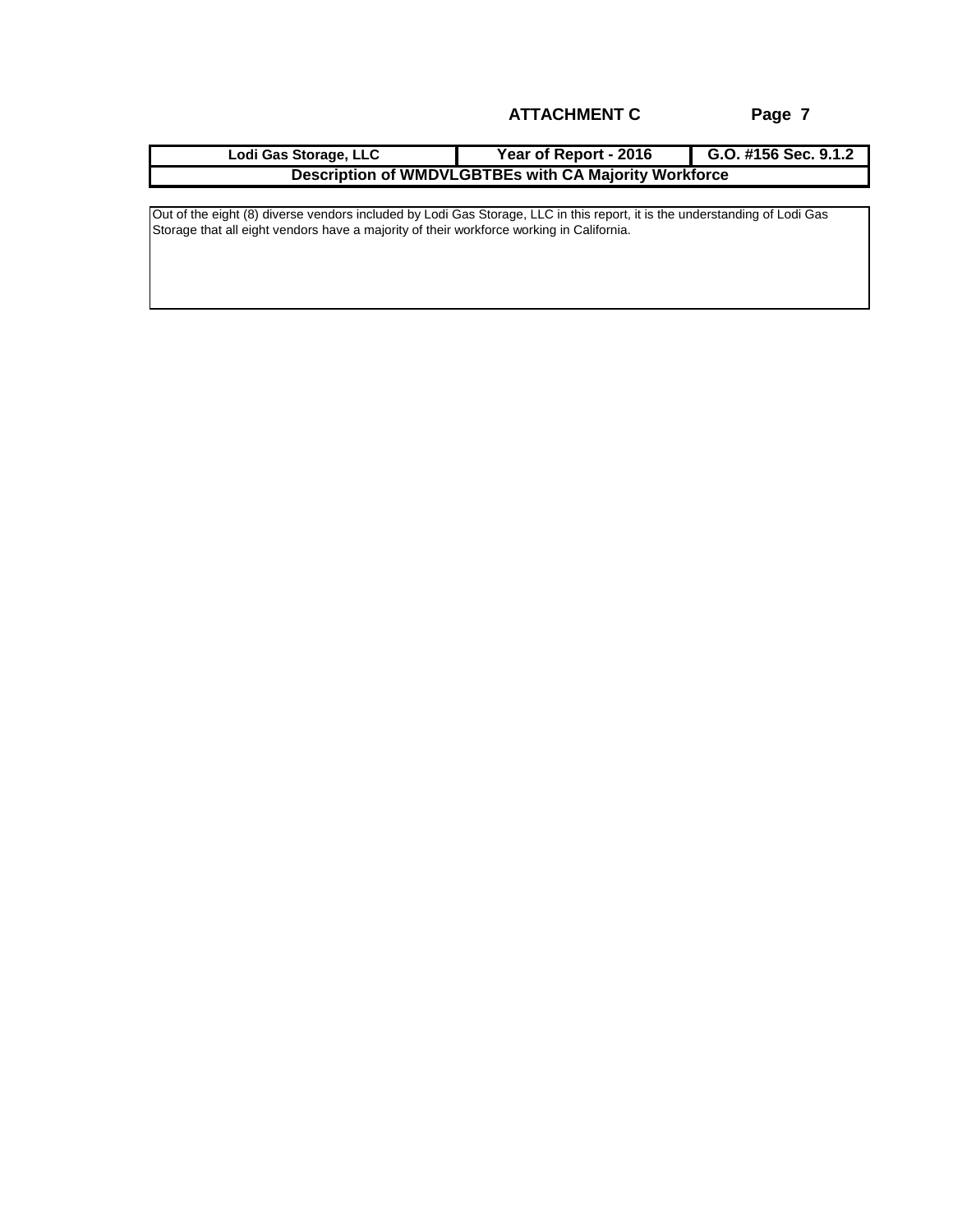| Lodi Gas Storage, LLC | Year of Report - 2016                                 | G.O. #156 Sec. 9.1.2 |
|-----------------------|-------------------------------------------------------|----------------------|
|                       | Description of WMDVLGBTBEs with CA Majority Workforce |                      |

Out of the eight (8) diverse vendors included by Lodi Gas Storage, LLC in this report, it is the understanding of Lodi Gas Storage that all eight vendors have a majority of their workforce working in California.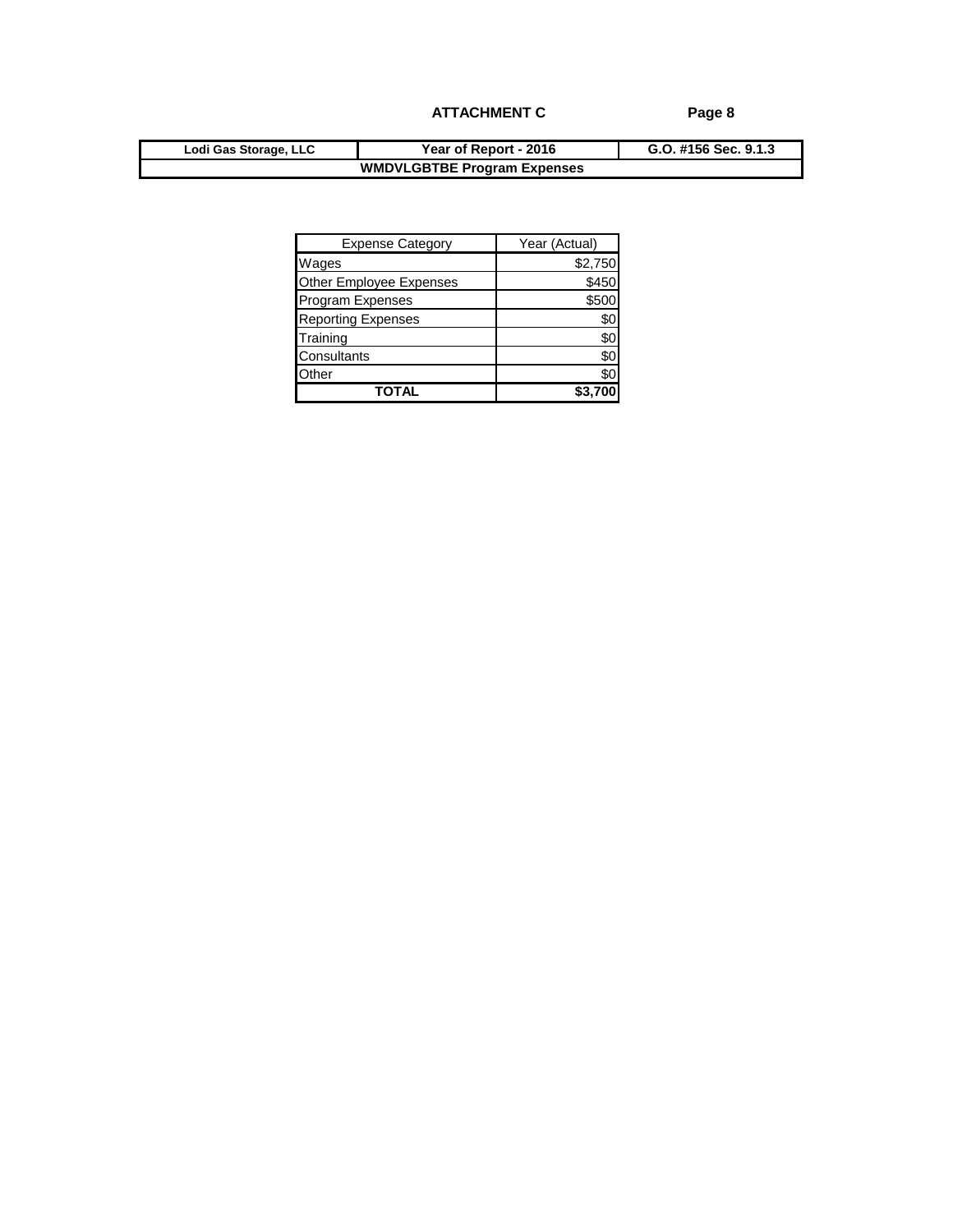| Lodi Gas Storage, LLC | Year of Report - 2016              | G.O. #156 Sec. 9.1.3 |
|-----------------------|------------------------------------|----------------------|
|                       | <b>WMDVLGBTBE Program Expenses</b> |                      |

| <b>Expense Category</b>   | Year (Actual) |
|---------------------------|---------------|
| Wages                     | \$2,750       |
| Other Employee Expenses   | \$450         |
| Program Expenses          | \$500         |
| <b>Reporting Expenses</b> | SC.           |
| Training                  | \$0           |
| Consultants               | \$0           |
| Other                     | \$0           |
| TOTAL                     |               |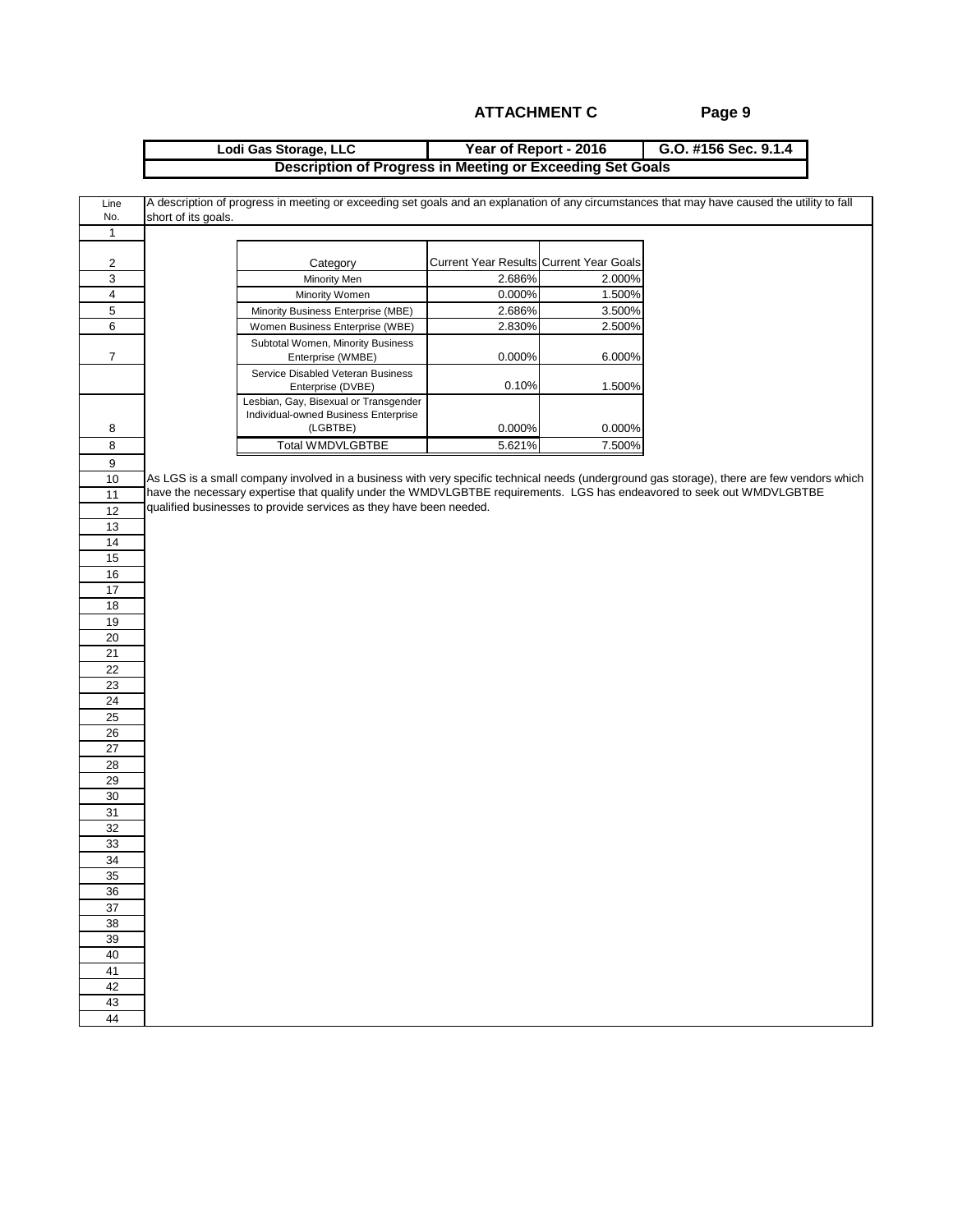#### **Year of Report - 2016 G.O. #156 Sec. 9.1.4 Lodi Gas Storage, LLC Description of Progress in Meeting or Exceeding Set Goals**

| Line           | A description of progress in meeting or exceeding set goals and an explanation of any circumstances that may have caused the utility to fall |                                         |        |  |
|----------------|----------------------------------------------------------------------------------------------------------------------------------------------|-----------------------------------------|--------|--|
| No.            | short of its goals.                                                                                                                          |                                         |        |  |
| $\mathbf{1}$   |                                                                                                                                              |                                         |        |  |
| 2              | Category                                                                                                                                     | Current Year Results Current Year Goals |        |  |
| 3              | Minority Men                                                                                                                                 | 2.686%                                  | 2.000% |  |
| $\overline{4}$ | Minority Women                                                                                                                               | 0.000%                                  | 1.500% |  |
| 5              | Minority Business Enterprise (MBE)                                                                                                           | 2.686%                                  | 3.500% |  |
| 6              | Women Business Enterprise (WBE)                                                                                                              | 2.830%                                  | 2.500% |  |
| $\overline{7}$ | Subtotal Women, Minority Business<br>Enterprise (WMBE)                                                                                       | 0.000%                                  | 6.000% |  |
|                | Service Disabled Veteran Business<br>Enterprise (DVBE)                                                                                       | 0.10%                                   | 1.500% |  |
|                | Lesbian, Gay, Bisexual or Transgender<br>Individual-owned Business Enterprise                                                                |                                         |        |  |
| 8              | (LGBTBE)                                                                                                                                     | 0.000%                                  | 0.000% |  |
| 8              | <b>Total WMDVLGBTBE</b>                                                                                                                      | 5.621%                                  | 7.500% |  |
| 9              |                                                                                                                                              |                                         |        |  |
| 10             | As LGS is a small company involved in a business with very specific technical needs (underground gas storage), there are few vendors which   |                                         |        |  |
| 11             | have the necessary expertise that qualify under the WMDVLGBTBE requirements. LGS has endeavored to seek out WMDVLGBTBE                       |                                         |        |  |
| 12             | qualified businesses to provide services as they have been needed.                                                                           |                                         |        |  |
| 13             |                                                                                                                                              |                                         |        |  |
| 14             |                                                                                                                                              |                                         |        |  |
| 15             |                                                                                                                                              |                                         |        |  |
| 16             |                                                                                                                                              |                                         |        |  |
| 17             |                                                                                                                                              |                                         |        |  |
| 18             |                                                                                                                                              |                                         |        |  |
| 19             |                                                                                                                                              |                                         |        |  |
| 20             |                                                                                                                                              |                                         |        |  |
| 21             |                                                                                                                                              |                                         |        |  |
| 22             |                                                                                                                                              |                                         |        |  |
| 23             |                                                                                                                                              |                                         |        |  |
| 24             |                                                                                                                                              |                                         |        |  |
| 25             |                                                                                                                                              |                                         |        |  |
| 26             |                                                                                                                                              |                                         |        |  |
| 27             |                                                                                                                                              |                                         |        |  |
| 28             |                                                                                                                                              |                                         |        |  |
| 29             |                                                                                                                                              |                                         |        |  |
| 30<br>31       |                                                                                                                                              |                                         |        |  |
| 32             |                                                                                                                                              |                                         |        |  |
|                |                                                                                                                                              |                                         |        |  |
| 33<br>34       |                                                                                                                                              |                                         |        |  |
| 35             |                                                                                                                                              |                                         |        |  |
|                |                                                                                                                                              |                                         |        |  |
| 36<br>37       |                                                                                                                                              |                                         |        |  |
| 38             |                                                                                                                                              |                                         |        |  |
| 39             |                                                                                                                                              |                                         |        |  |
| 40             |                                                                                                                                              |                                         |        |  |
| 41             |                                                                                                                                              |                                         |        |  |
| 42             |                                                                                                                                              |                                         |        |  |
| 43             |                                                                                                                                              |                                         |        |  |
| 44             |                                                                                                                                              |                                         |        |  |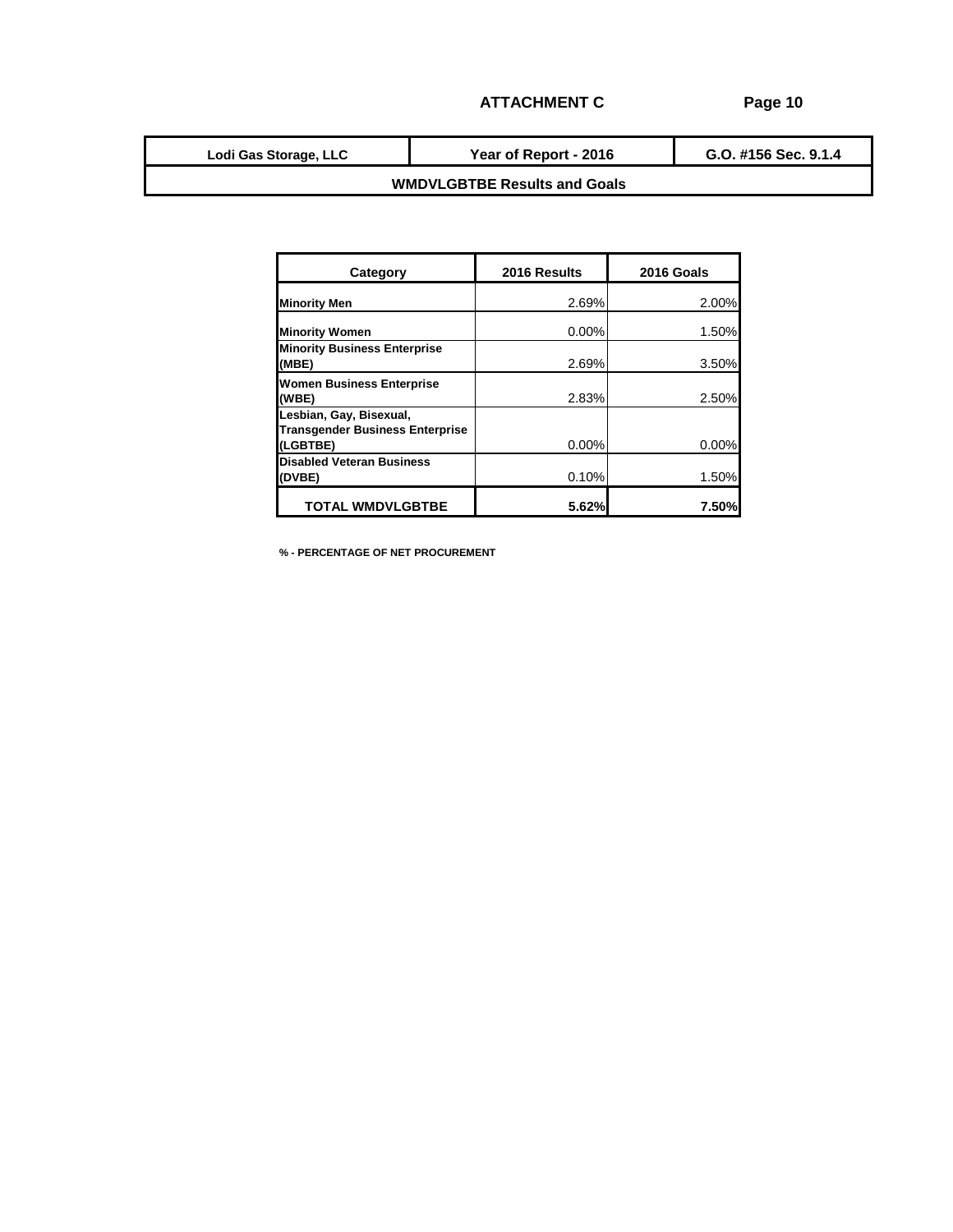**G.O. #156 Sec. 9.1.4 Lodi Gas Storage, LLC Year of Report - 2016**

## **WMDVLGBTBE Results and Goals**

| Category                                                                      | 2016 Results | 2016 Goals |
|-------------------------------------------------------------------------------|--------------|------------|
| <b>Minority Men</b>                                                           | 2.69%        | 2.00%      |
| <b>Minority Women</b>                                                         | $0.00\%$     | 1.50%      |
| <b>Minority Business Enterprise</b><br>(MBE)                                  | 2.69%        | 3.50%      |
| <b>Women Business Enterprise</b><br>(WBE)                                     | 2.83%        | 2.50%      |
| Lesbian, Gay, Bisexual,<br><b>Transgender Business Enterprise</b><br>(LGBTBE) | 0.00%        | $0.00\%$   |
| <b>Disabled Veteran Business</b><br>(DVBE)                                    | 0.10%        | 1.50%      |
| <b>TOTAL WMDVLGBTBE</b>                                                       | 5.62%        | 7.50%      |

**% - PERCENTAGE OF NET PROCUREMENT**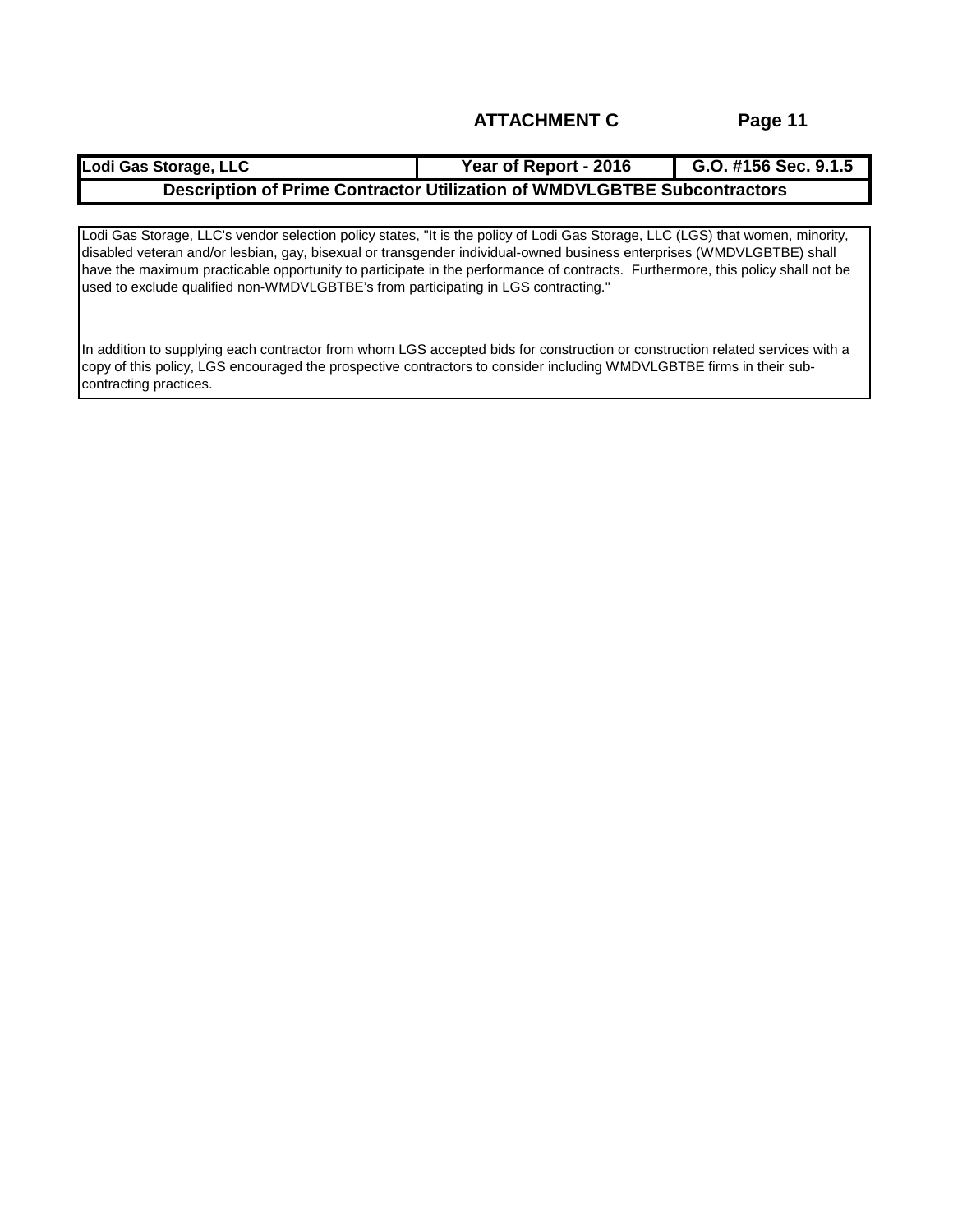| Lodi Gas Storage, LLC                                                           | <b>Year of Report - 2016</b> | G.O. #156 Sec. 9.1.5 |
|---------------------------------------------------------------------------------|------------------------------|----------------------|
| <b>Description of Prime Contractor Utilization of WMDVLGBTBE Subcontractors</b> |                              |                      |

Lodi Gas Storage, LLC's vendor selection policy states, "It is the policy of Lodi Gas Storage, LLC (LGS) that women, minority, disabled veteran and/or lesbian, gay, bisexual or transgender individual-owned business enterprises (WMDVLGBTBE) shall have the maximum practicable opportunity to participate in the performance of contracts. Furthermore, this policy shall not be used to exclude qualified non-WMDVLGBTBE's from participating in LGS contracting."

In addition to supplying each contractor from whom LGS accepted bids for construction or construction related services with a copy of this policy, LGS encouraged the prospective contractors to consider including WMDVLGBTBE firms in their subcontracting practices.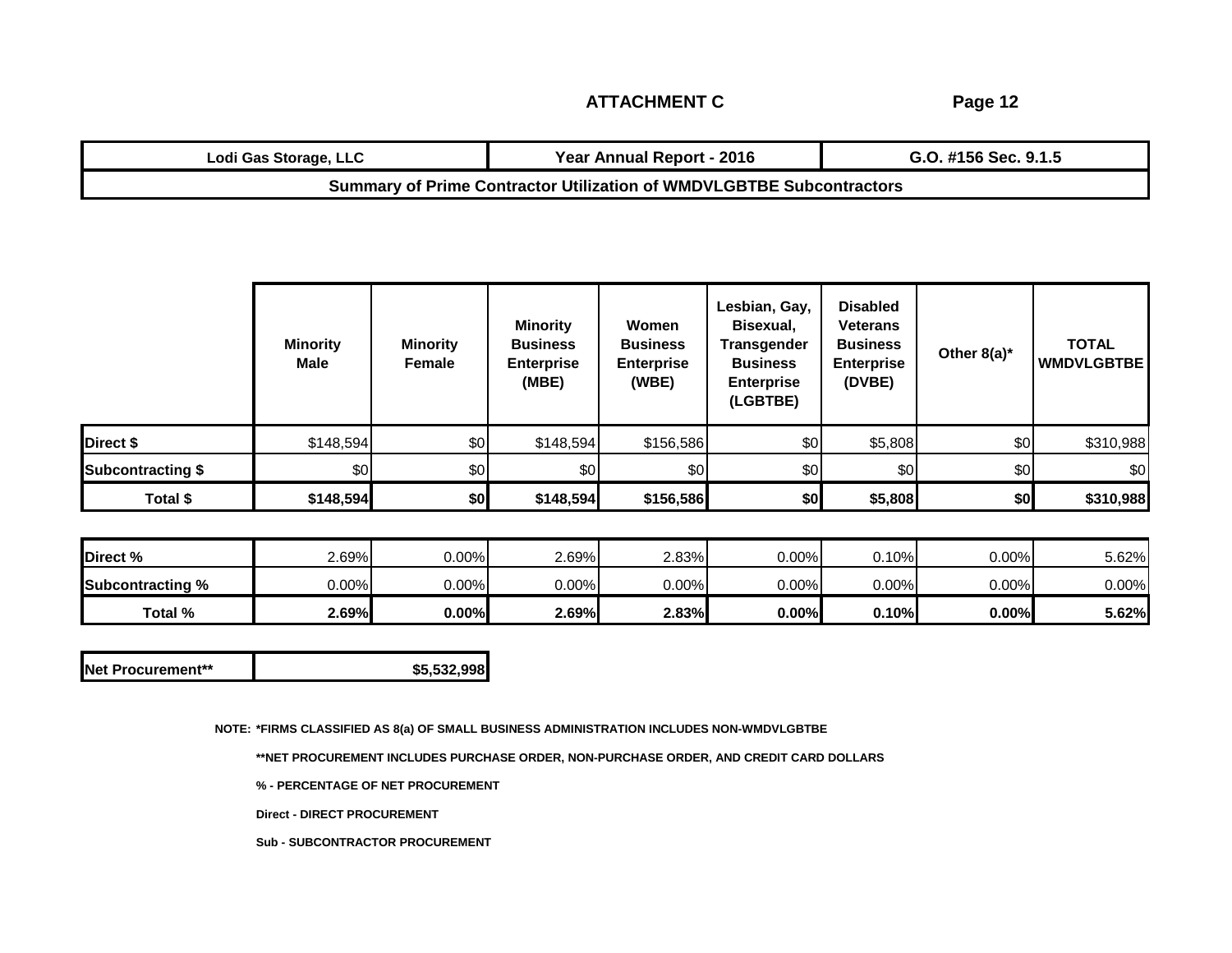**Page 12**

| Lodi Gas Storage, LLC                                                       | Year Annual Report - 2016 | G.O. #156 Sec. 9.1.5 |  |  |
|-----------------------------------------------------------------------------|---------------------------|----------------------|--|--|
| <b>Summary of Prime Contractor Utilization of WMDVLGBTBE Subcontractors</b> |                           |                      |  |  |

|                          | <b>Minority</b><br>Male | <b>Minority</b><br>Female | <b>Minority</b><br><b>Business</b><br><b>Enterprise</b><br>(MBE) | Women<br><b>Business</b><br><b>Enterprise</b><br>(WBE) | Lesbian, Gay,<br>Bisexual,<br><b>Transgender</b><br><b>Business</b><br><b>Enterprise</b><br>(LGBTBE) | <b>Disabled</b><br><b>Veterans</b><br><b>Business</b><br><b>Enterprise</b><br>(DVBE) | Other $8(a)^*$ | <b>TOTAL</b><br><b>WMDVLGBTBE</b> |
|--------------------------|-------------------------|---------------------------|------------------------------------------------------------------|--------------------------------------------------------|------------------------------------------------------------------------------------------------------|--------------------------------------------------------------------------------------|----------------|-----------------------------------|
| Direct \$                | \$148,594               | \$0                       | \$148,594                                                        | \$156,586                                              | \$0                                                                                                  | \$5,808                                                                              | \$0            | \$310,988                         |
| <b>Subcontracting \$</b> | \$0                     | \$0                       | \$0                                                              | \$0                                                    | \$0                                                                                                  | \$0                                                                                  | \$0            | \$0                               |
| Total \$                 | \$148,594               | \$0                       | \$148,594                                                        | \$156,586                                              | \$0                                                                                                  | \$5,808                                                                              | \$0]           | \$310,988                         |

| Direct %                | $2.69\%$ | $0.00\%$ | 2.69%    | 2.83%    | $0.00\%$ | $J.10\%$ | $0.00\%$ | 5.62%    |
|-------------------------|----------|----------|----------|----------|----------|----------|----------|----------|
| <b>Subcontracting %</b> | 0.00%    | $0.00\%$ | $0.00\%$ | $0.00\%$ | $0.00\%$ | $0.00\%$ | 0.00%    | $0.00\%$ |
| Total %                 | 2.69%    | 0.00%    | 2.69%    | 2.83%    | 0.00%    | 0.10%    | 0.00%    | 5.62%    |

| <b>INet Procurement**</b> | \$5.532.998 |
|---------------------------|-------------|
|---------------------------|-------------|

**NOTE: \*FIRMS CLASSIFIED AS 8(a) OF SMALL BUSINESS ADMINISTRATION INCLUDES NON-WMDVLGBTBE**

**\*\*NET PROCUREMENT INCLUDES PURCHASE ORDER, NON-PURCHASE ORDER, AND CREDIT CARD DOLLARS**

**% - PERCENTAGE OF NET PROCUREMENT**

**Direct - DIRECT PROCUREMENT**

**Sub - SUBCONTRACTOR PROCUREMENT**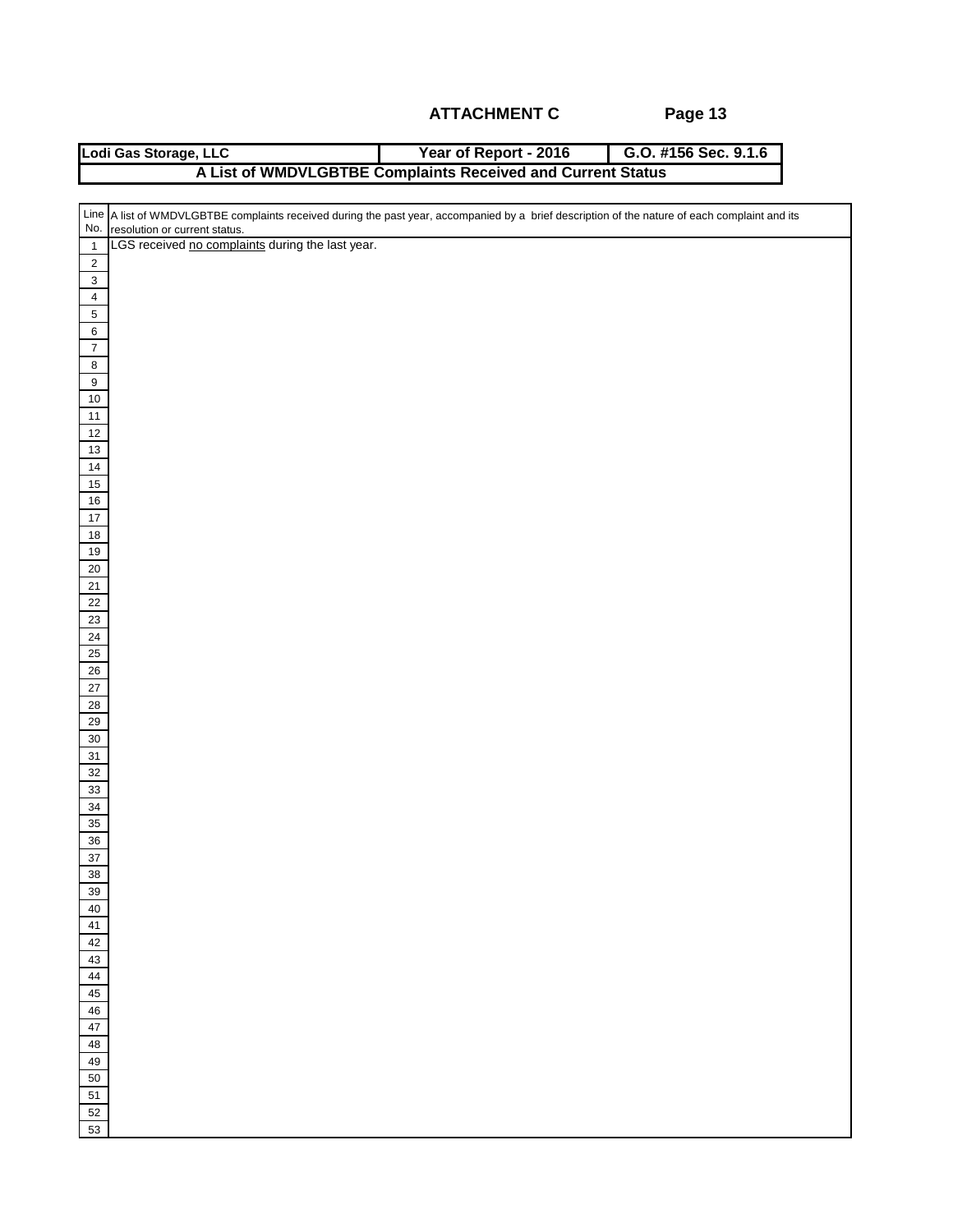|                              | Year of Report - 2016<br>Lodi Gas Storage, LLC<br>G.O. #156 Sec. 9.1.6                                                                           |
|------------------------------|--------------------------------------------------------------------------------------------------------------------------------------------------|
|                              | A List of WMDVLGBTBE Complaints Received and Current Status                                                                                      |
|                              |                                                                                                                                                  |
|                              | Line   A list of WMDVLGBTBE complaints received during the past year, accompanied by a brief description of the nature of each complaint and its |
| No.                          | resolution or current status.                                                                                                                    |
| $\overline{1}$               | LGS received no complaints during the last year.                                                                                                 |
| $\sqrt{2}$                   |                                                                                                                                                  |
| $\mathbf 3$                  |                                                                                                                                                  |
| $\overline{4}$<br>$\sqrt{5}$ |                                                                                                                                                  |
| $\,6$                        |                                                                                                                                                  |
| $\overline{7}$               |                                                                                                                                                  |
| $\bf 8$                      |                                                                                                                                                  |
| $\overline{9}$               |                                                                                                                                                  |
| $10$                         |                                                                                                                                                  |
| $11$                         |                                                                                                                                                  |
| 12                           |                                                                                                                                                  |
| $13\,$                       |                                                                                                                                                  |
| $14\,$                       |                                                                                                                                                  |
| $15\,$<br>$16\,$             |                                                                                                                                                  |
| $17$                         |                                                                                                                                                  |
| 18                           |                                                                                                                                                  |
| $19\,$                       |                                                                                                                                                  |
| 20                           |                                                                                                                                                  |
| 21                           |                                                                                                                                                  |
| 22                           |                                                                                                                                                  |
| 23                           |                                                                                                                                                  |
| 24                           |                                                                                                                                                  |
| 25<br>26                     |                                                                                                                                                  |
| $27\,$                       |                                                                                                                                                  |
| 28                           |                                                                                                                                                  |
| $29\,$                       |                                                                                                                                                  |
| $30\,$                       |                                                                                                                                                  |
| 31                           |                                                                                                                                                  |
| 32                           |                                                                                                                                                  |
| $33\,$                       |                                                                                                                                                  |
| $34\,$                       |                                                                                                                                                  |
| 35                           |                                                                                                                                                  |
| 36<br>37                     |                                                                                                                                                  |
| 38                           |                                                                                                                                                  |
| 39                           |                                                                                                                                                  |
| 40                           |                                                                                                                                                  |
| ${\bf 41}$                   |                                                                                                                                                  |
| 42                           |                                                                                                                                                  |
| 43                           |                                                                                                                                                  |
| 44<br>45                     |                                                                                                                                                  |
| 46                           |                                                                                                                                                  |
| 47                           |                                                                                                                                                  |
| 48                           |                                                                                                                                                  |
| 49                           |                                                                                                                                                  |
| 50                           |                                                                                                                                                  |
| 51                           |                                                                                                                                                  |
| 52                           |                                                                                                                                                  |
| 53                           |                                                                                                                                                  |
|                              |                                                                                                                                                  |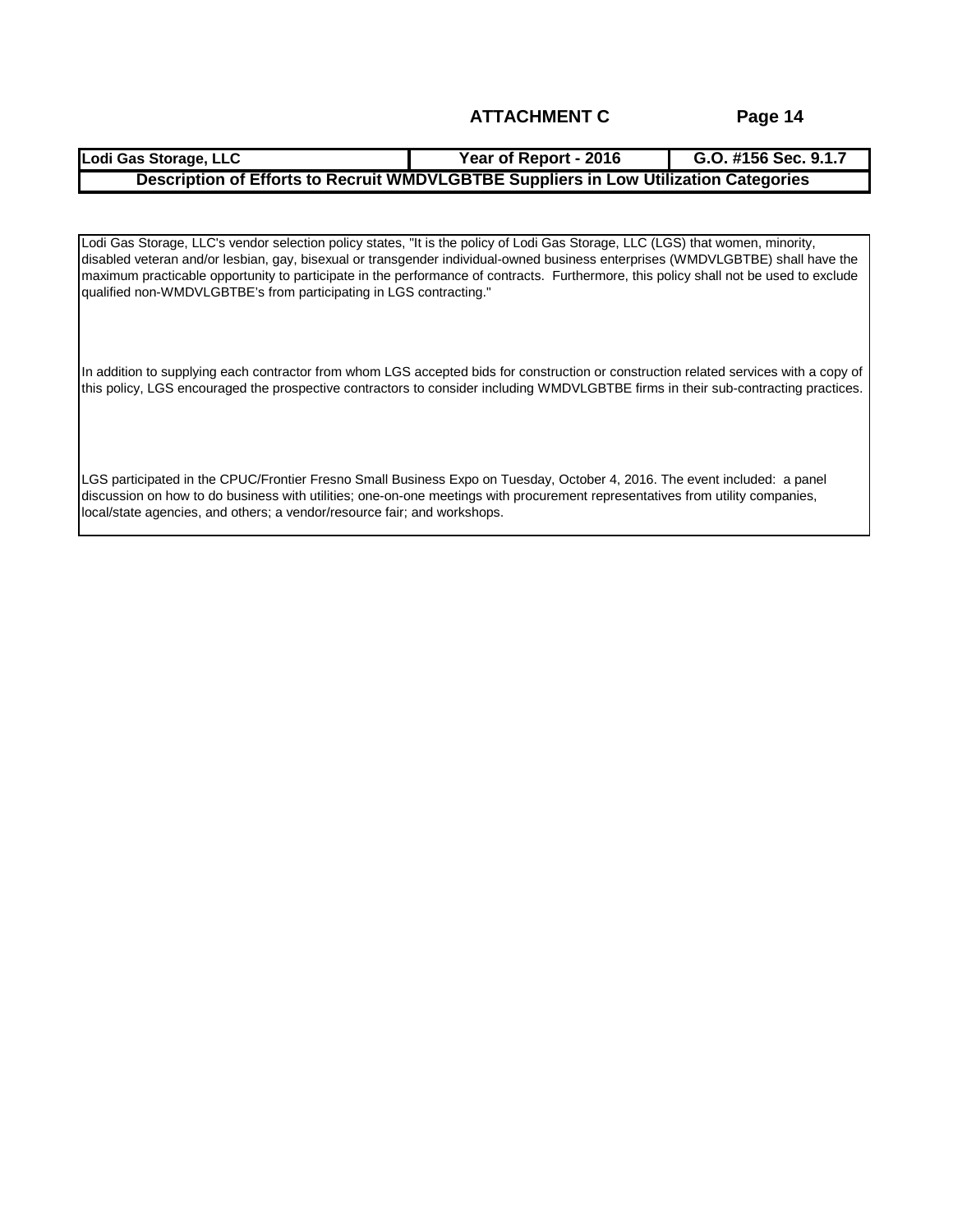| Lodi Gas Storage, LLC                                                                | Year of Report - 2016 | G.O. #156 Sec. 9.1.7 |  |  |
|--------------------------------------------------------------------------------------|-----------------------|----------------------|--|--|
| Description of Efforts to Recruit WMDVLGBTBE Suppliers in Low Utilization Categories |                       |                      |  |  |

Lodi Gas Storage, LLC's vendor selection policy states, "It is the policy of Lodi Gas Storage, LLC (LGS) that women, minority, disabled veteran and/or lesbian, gay, bisexual or transgender individual-owned business enterprises (WMDVLGBTBE) shall have the maximum practicable opportunity to participate in the performance of contracts. Furthermore, this policy shall not be used to exclude qualified non-WMDVLGBTBE's from participating in LGS contracting."

In addition to supplying each contractor from whom LGS accepted bids for construction or construction related services with a copy of this policy, LGS encouraged the prospective contractors to consider including WMDVLGBTBE firms in their sub-contracting practices.

LGS participated in the CPUC/Frontier Fresno Small Business Expo on Tuesday, October 4, 2016. The event included: a panel discussion on how to do business with utilities; one-on-one meetings with procurement representatives from utility companies, local/state agencies, and others; a vendor/resource fair; and workshops.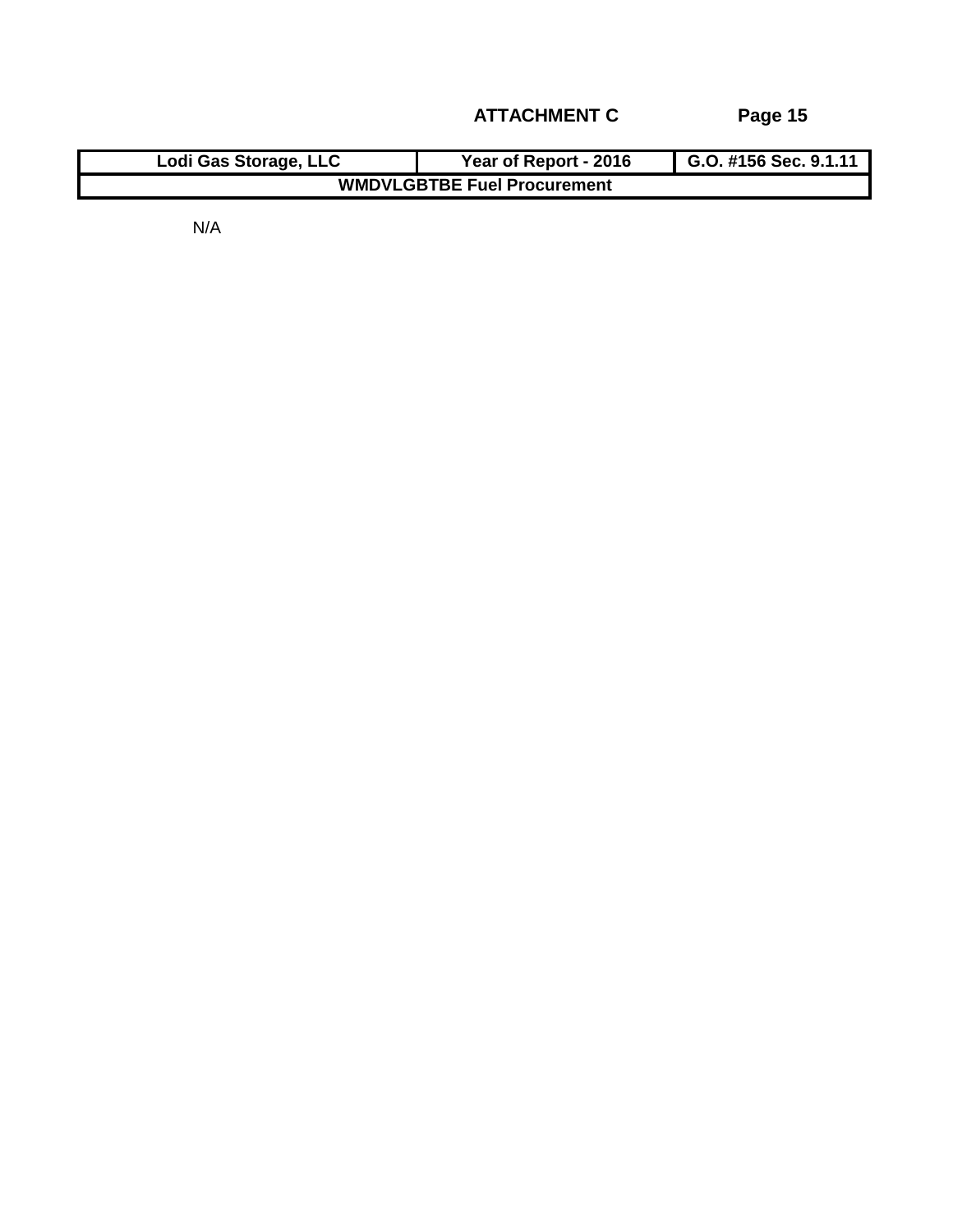| Lodi Gas Storage, LLC              | Year of Report - 2016 | G.O. #156 Sec. 9.1.11 |  |  |  |
|------------------------------------|-----------------------|-----------------------|--|--|--|
| <b>WMDVLGBTBE Fuel Procurement</b> |                       |                       |  |  |  |

N/A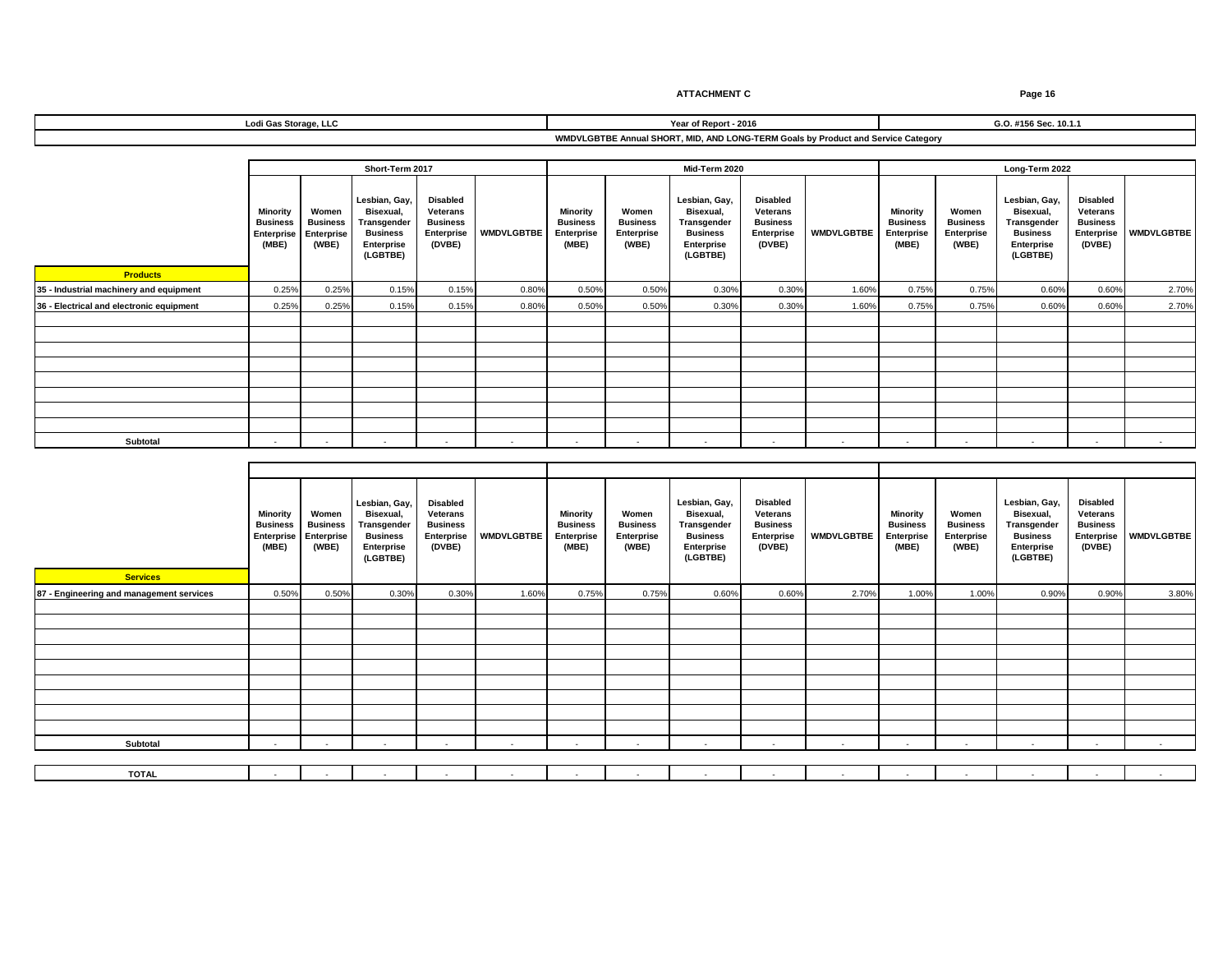**Products 35 - Industrial machinery and equipment** 0.25% 0.25% 0.15% 0.15% 0.80% 0.50% 0.50% 0.30% 0.30% 1.60% 0.75% 0.75% 0.60% 0.60% 2.70% **36 - Electrical and electronic equipment** 0.25% 0.25% 0.15% 0.15% 0.80% 0.50% 0.50% 0.30% 0.30% 1.60% 0.75% 0.75% 0.60% 0.60% 2.70% **Subtotal** - - - - - - - - - - - - - - - **Short-Term 2017 Mid-Term 2020 Long-Term 2022 WMDVLGBTBE Disabled Veterans Business Enterprise (DVBE) Lesbian, Gay, Bisexual, Transgender Business Enterprise (LGBTBE) Lodi Gas Storage, LLC WMDVLGBTBE Annual SHORT, MID, AND LONG-TERM Goals by Product and Service Category Year of Report - 2016 G.O. #156 Sec. 10.1.1 Lesbian, Gay, Bisexual, Transgender Business Enterprise (LGBTBE) Disabled Veterans Business Enterprise (DVBE) WMDVLGBTBE Minority Business Enterprise (MBE) WMDVLGBTBE Disabled Veterans Business Enterprise (DVBE) Women Business Enterprise (WBE) Minority Business Enterprise (MBE) Women Business Enterprise (WBE) Lesbian, Gay, Bisexual, Transgender Business Enterprise (LGBTBE) Women Business Enterprise (WBE) Minority Business Enterprise (MBE)**

| <b>Services</b>                          | <b>Minority</b><br><b>Business</b><br>Enterprise<br>(MBE) | Women<br><b>Business</b><br>Enterprise<br>(WBE) | Lesbian, Gay,<br>Bisexual,<br>Transgender<br><b>Business</b><br>Enterprise<br>(LGBTBE) | <b>Disabled</b><br>Veterans<br><b>Business</b><br>Enterprise<br>(DVBE) | <b>WMDVLGBTBE</b> | <b>Minority</b><br><b>Business</b><br>Enterprise<br>(MBE) | Women<br><b>Business</b><br>Enterprise<br>(WBE) | Lesbian, Gay,<br>Bisexual,<br>Transgender<br><b>Business</b><br>Enterprise<br>(LGBTBE) | <b>Disabled</b><br>Veterans<br><b>Business</b><br>Enterprise<br>(DVBE) | <b>WMDVLGBTBE</b> | Minority<br><b>Business</b><br>Enterprise<br>(MBE) | Women<br><b>Business</b><br>Enterprise<br>(WBE) | Lesbian, Gay,<br>Bisexual,<br>Transgender<br><b>Business</b><br>Enterprise<br>(LGBTBE) | <b>Disabled</b><br>Veterans<br><b>Business</b><br>Enterprise<br>(DVBE) | WMDVLGBTBE |
|------------------------------------------|-----------------------------------------------------------|-------------------------------------------------|----------------------------------------------------------------------------------------|------------------------------------------------------------------------|-------------------|-----------------------------------------------------------|-------------------------------------------------|----------------------------------------------------------------------------------------|------------------------------------------------------------------------|-------------------|----------------------------------------------------|-------------------------------------------------|----------------------------------------------------------------------------------------|------------------------------------------------------------------------|------------|
| 87 - Engineering and management services | 0.50%                                                     | 0.50%                                           | 0.30%                                                                                  | 0.30%                                                                  | 1.60%             | 0.75%                                                     | 0.75%                                           | 0.60%                                                                                  | 0.60%                                                                  | 2.70%             | 1.00%                                              | 1.00%                                           | 0.90%                                                                                  | 0.90%                                                                  | 3.80%      |
|                                          |                                                           |                                                 |                                                                                        |                                                                        |                   |                                                           |                                                 |                                                                                        |                                                                        |                   |                                                    |                                                 |                                                                                        |                                                                        |            |
|                                          |                                                           |                                                 |                                                                                        |                                                                        |                   |                                                           |                                                 |                                                                                        |                                                                        |                   |                                                    |                                                 |                                                                                        |                                                                        |            |
|                                          |                                                           |                                                 |                                                                                        |                                                                        |                   |                                                           |                                                 |                                                                                        |                                                                        |                   |                                                    |                                                 |                                                                                        |                                                                        |            |
|                                          |                                                           |                                                 |                                                                                        |                                                                        |                   |                                                           |                                                 |                                                                                        |                                                                        |                   |                                                    |                                                 |                                                                                        |                                                                        |            |
|                                          |                                                           |                                                 |                                                                                        |                                                                        |                   |                                                           |                                                 |                                                                                        |                                                                        |                   |                                                    |                                                 |                                                                                        |                                                                        |            |
|                                          |                                                           |                                                 |                                                                                        |                                                                        |                   |                                                           |                                                 |                                                                                        |                                                                        |                   |                                                    |                                                 |                                                                                        |                                                                        |            |
|                                          |                                                           |                                                 |                                                                                        |                                                                        |                   |                                                           |                                                 |                                                                                        |                                                                        |                   |                                                    |                                                 |                                                                                        |                                                                        |            |
|                                          |                                                           |                                                 |                                                                                        |                                                                        |                   |                                                           |                                                 |                                                                                        |                                                                        |                   |                                                    |                                                 |                                                                                        |                                                                        |            |
|                                          |                                                           |                                                 |                                                                                        |                                                                        |                   |                                                           |                                                 |                                                                                        |                                                                        |                   |                                                    |                                                 |                                                                                        |                                                                        |            |
| Subtotal                                 | . .                                                       |                                                 | . .                                                                                    | $\overline{\phantom{a}}$                                               |                   | $\sim$                                                    | $\overline{\phantom{a}}$                        |                                                                                        | $\overline{\phantom{a}}$                                               | . .               | $\overline{\phantom{a}}$                           | . .                                             |                                                                                        | $\sim$                                                                 | $\sim$     |
|                                          |                                                           |                                                 |                                                                                        |                                                                        |                   |                                                           |                                                 |                                                                                        |                                                                        |                   |                                                    |                                                 |                                                                                        |                                                                        |            |
| <b>TOTAL</b>                             |                                                           |                                                 |                                                                                        |                                                                        | $\sim$            | $\sim$                                                    |                                                 |                                                                                        |                                                                        |                   |                                                    | $\sim$                                          |                                                                                        | $\overline{\phantom{a}}$                                               | $\sim$     |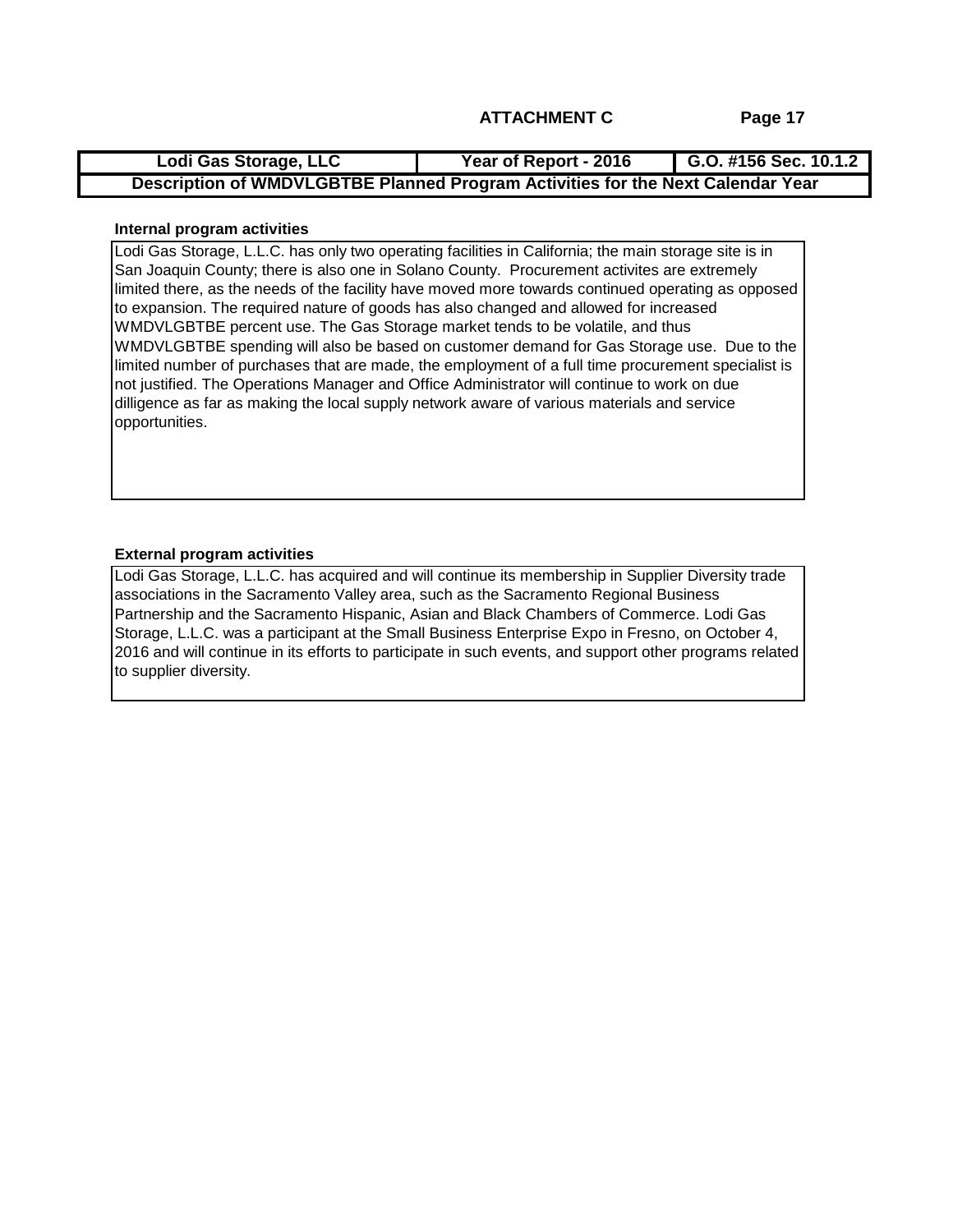| Lodi Gas Storage, LLC                                                           | Year of Report - 2016 | G.O. #156 Sec. $10.1.2$ |  |  |  |
|---------------------------------------------------------------------------------|-----------------------|-------------------------|--|--|--|
| Description of WMDVLGBTBE Planned Program Activities for the Next Calendar Year |                       |                         |  |  |  |

#### **Internal program activities**

Lodi Gas Storage, L.L.C. has only two operating facilities in California; the main storage site is in San Joaquin County; there is also one in Solano County. Procurement activites are extremely limited there, as the needs of the facility have moved more towards continued operating as opposed to expansion. The required nature of goods has also changed and allowed for increased WMDVLGBTBE percent use. The Gas Storage market tends to be volatile, and thus WMDVLGBTBE spending will also be based on customer demand for Gas Storage use. Due to the limited number of purchases that are made, the employment of a full time procurement specialist is not justified. The Operations Manager and Office Administrator will continue to work on due dilligence as far as making the local supply network aware of various materials and service opportunities.

#### **External program activities**

Lodi Gas Storage, L.L.C. has acquired and will continue its membership in Supplier Diversity trade associations in the Sacramento Valley area, such as the Sacramento Regional Business Partnership and the Sacramento Hispanic, Asian and Black Chambers of Commerce. Lodi Gas Storage, L.L.C. was a participant at the Small Business Enterprise Expo in Fresno, on October 4, 2016 and will continue in its efforts to participate in such events, and support other programs related to supplier diversity.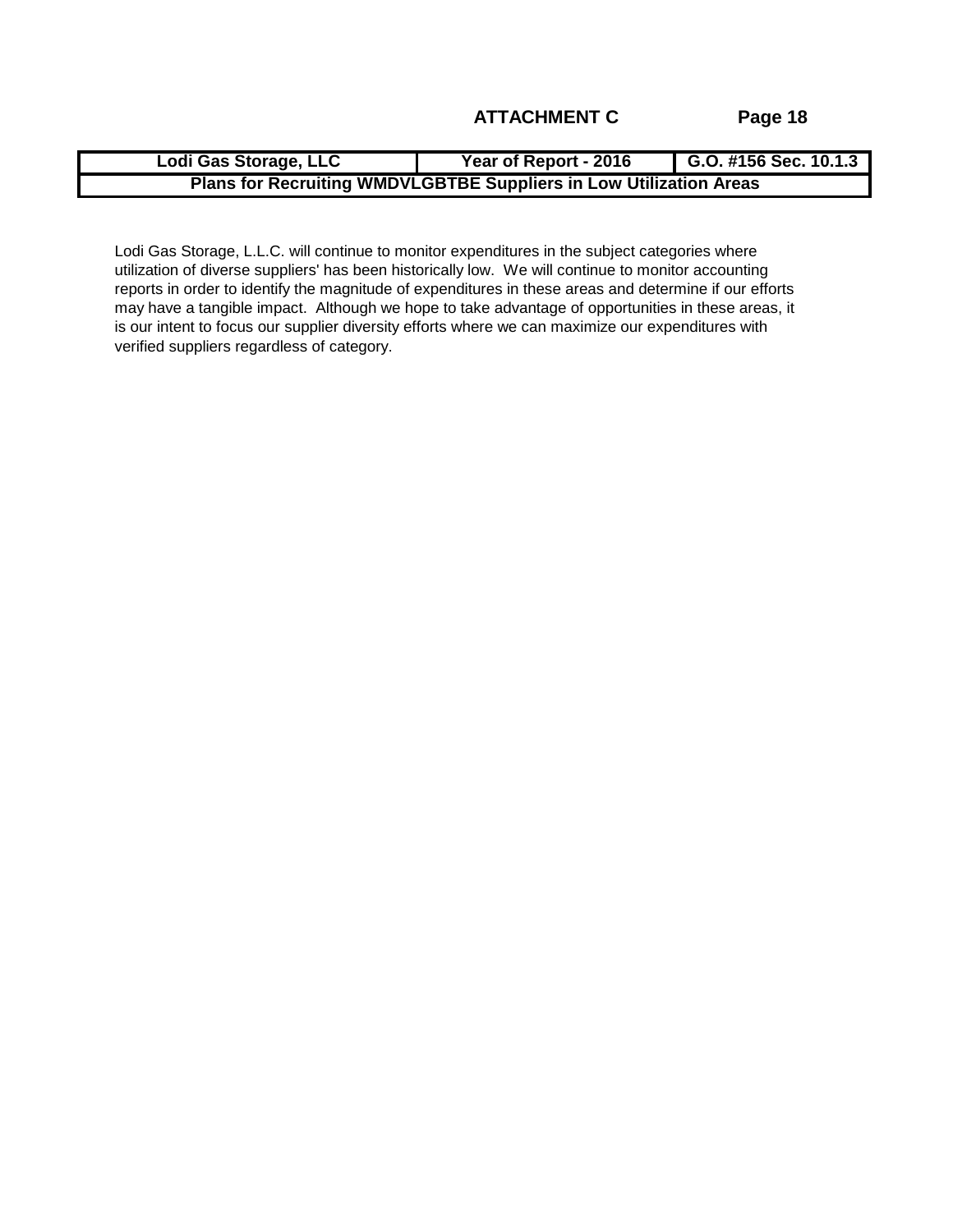| Lodi Gas Storage, LLC                                                     | Year of Report - 2016 | G.O. #156 Sec. 10.1.3 |  |  |  |
|---------------------------------------------------------------------------|-----------------------|-----------------------|--|--|--|
| <b>Plans for Recruiting WMDVLGBTBE Suppliers in Low Utilization Areas</b> |                       |                       |  |  |  |

Lodi Gas Storage, L.L.C. will continue to monitor expenditures in the subject categories where utilization of diverse suppliers' has been historically low. We will continue to monitor accounting reports in order to identify the magnitude of expenditures in these areas and determine if our efforts may have a tangible impact. Although we hope to take advantage of opportunities in these areas, it is our intent to focus our supplier diversity efforts where we can maximize our expenditures with verified suppliers regardless of category.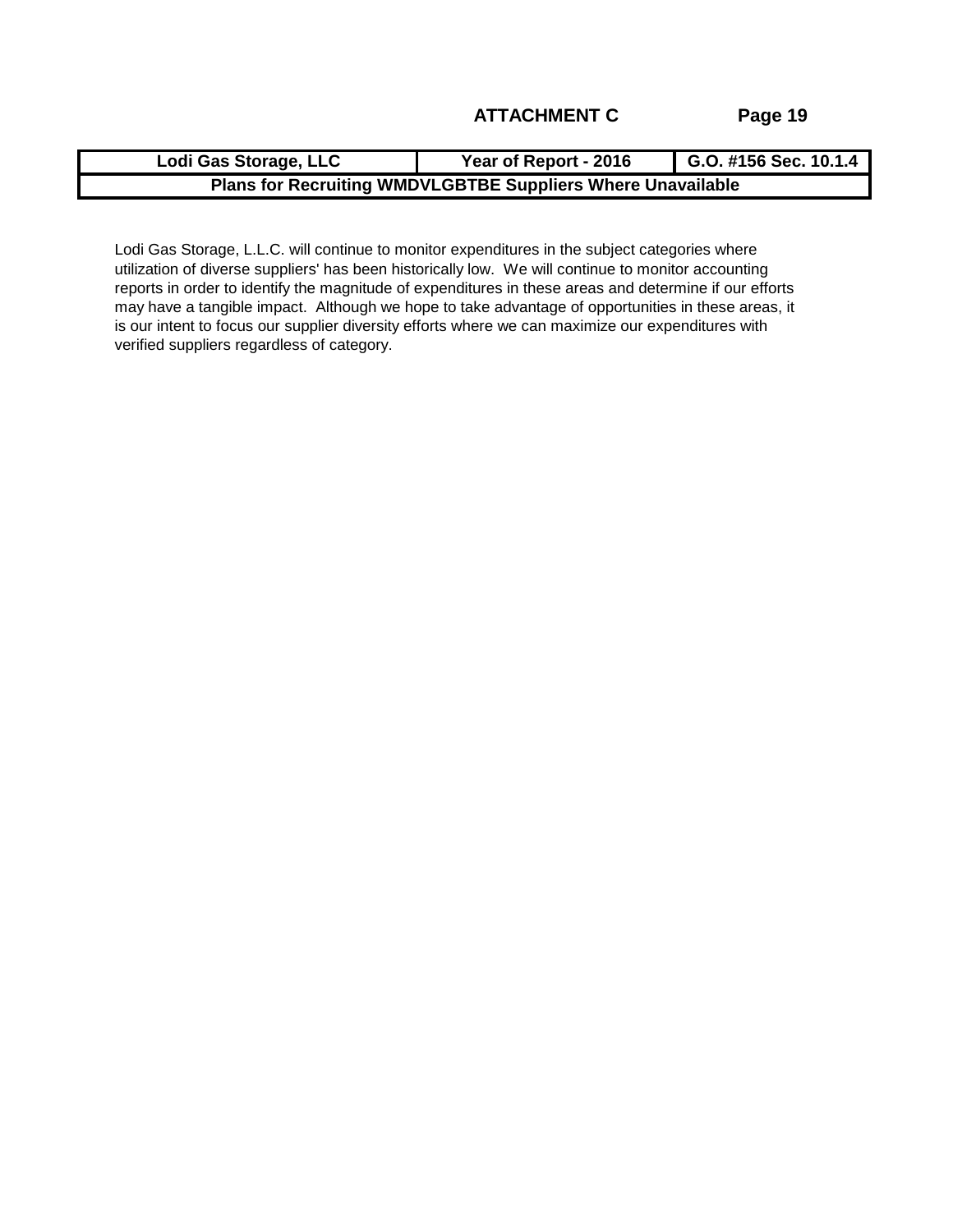| Lodi Gas Storage, LLC                                              | Year of Report - 2016 | G.O. #156 Sec. 10.1.4 |  |  |  |
|--------------------------------------------------------------------|-----------------------|-----------------------|--|--|--|
| <b>Plans for Recruiting WMDVLGBTBE Suppliers Where Unavailable</b> |                       |                       |  |  |  |

Lodi Gas Storage, L.L.C. will continue to monitor expenditures in the subject categories where utilization of diverse suppliers' has been historically low. We will continue to monitor accounting reports in order to identify the magnitude of expenditures in these areas and determine if our efforts may have a tangible impact. Although we hope to take advantage of opportunities in these areas, it is our intent to focus our supplier diversity efforts where we can maximize our expenditures with verified suppliers regardless of category.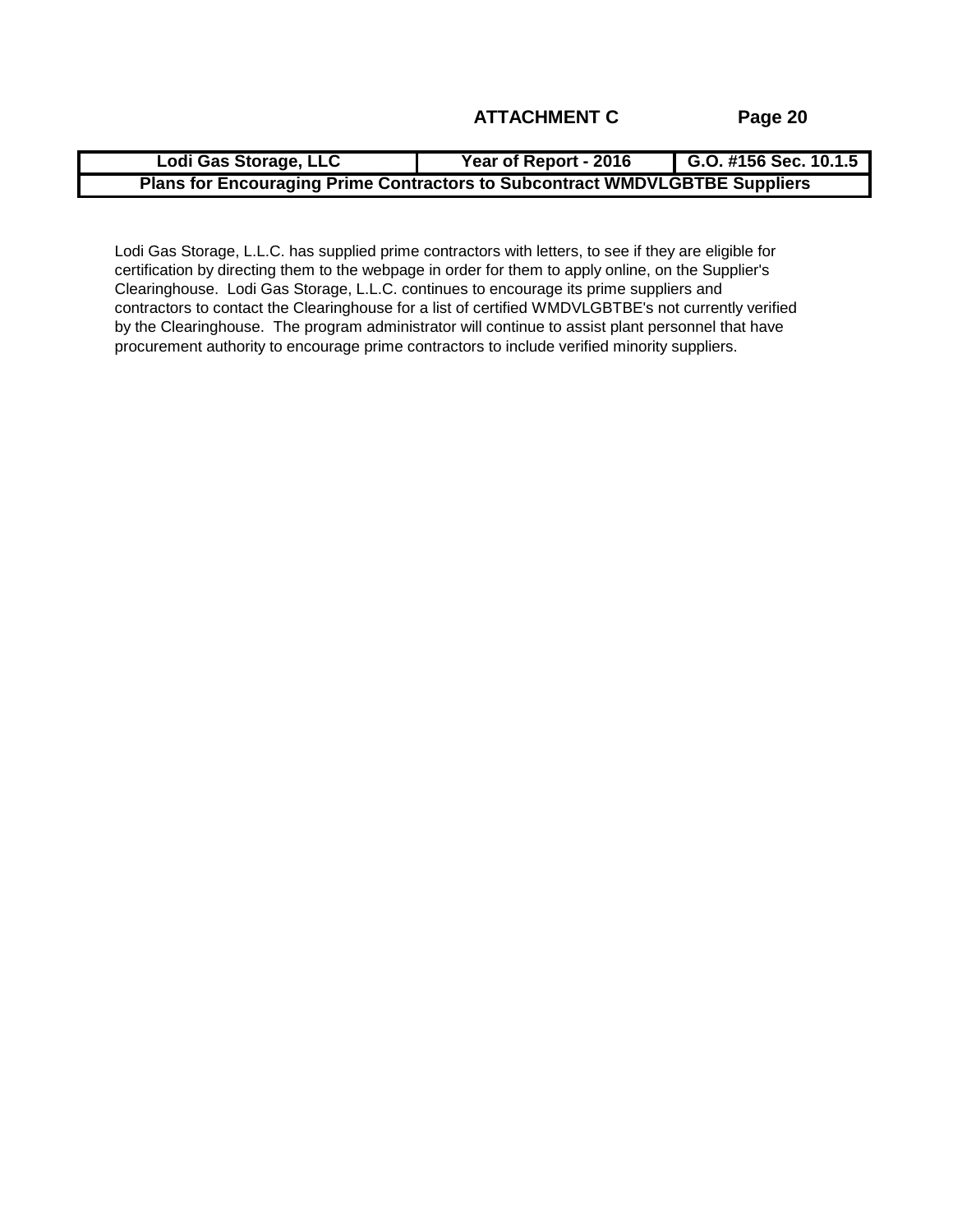| Lodi Gas Storage, LLC                                                              | Year of Report - 2016 | G.O. #156 Sec. 10.1.5 |  |  |  |
|------------------------------------------------------------------------------------|-----------------------|-----------------------|--|--|--|
| <b>Plans for Encouraging Prime Contractors to Subcontract WMDVLGBTBE Suppliers</b> |                       |                       |  |  |  |

Lodi Gas Storage, L.L.C. has supplied prime contractors with letters, to see if they are eligible for certification by directing them to the webpage in order for them to apply online, on the Supplier's Clearinghouse. Lodi Gas Storage, L.L.C. continues to encourage its prime suppliers and contractors to contact the Clearinghouse for a list of certified WMDVLGBTBE's not currently verified by the Clearinghouse. The program administrator will continue to assist plant personnel that have procurement authority to encourage prime contractors to include verified minority suppliers.